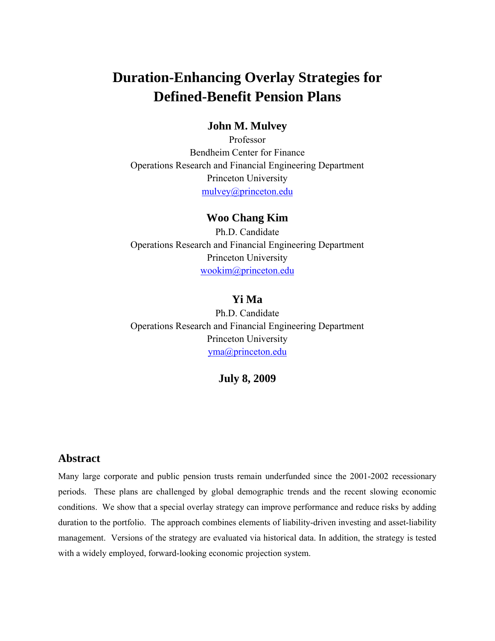## **Duration-Enhancing Overlay Strategies for Defined-Benefit Pension Plans**

### **John M. Mulvey**

Professor Bendheim Center for Finance Operations Research and Financial Engineering Department Princeton University mulvey@princeton.edu

### **Woo Chang Kim**

Ph.D. Candidate Operations Research and Financial Engineering Department Princeton University wookim@princeton.edu

### **Yi Ma**

Ph.D. Candidate Operations Research and Financial Engineering Department Princeton University yma@princeton.edu

**July 8, 2009** 

### **Abstract**

Many large corporate and public pension trusts remain underfunded since the 2001-2002 recessionary periods. These plans are challenged by global demographic trends and the recent slowing economic conditions. We show that a special overlay strategy can improve performance and reduce risks by adding duration to the portfolio. The approach combines elements of liability-driven investing and asset-liability management. Versions of the strategy are evaluated via historical data. In addition, the strategy is tested with a widely employed, forward-looking economic projection system.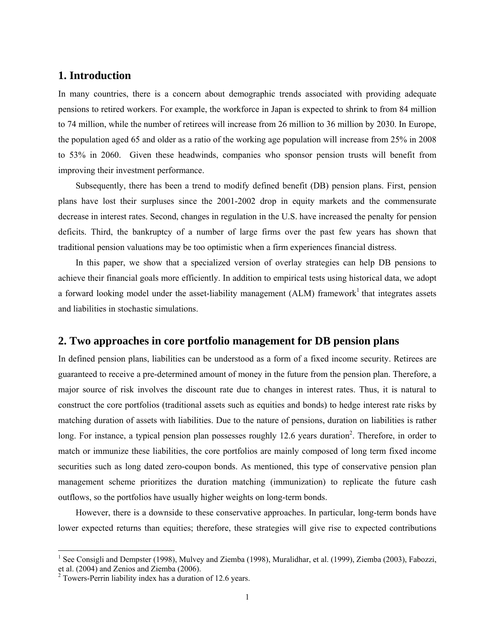### **1. Introduction**

In many countries, there is a concern about demographic trends associated with providing adequate pensions to retired workers. For example, the workforce in Japan is expected to shrink to from 84 million to 74 million, while the number of retirees will increase from 26 million to 36 million by 2030. In Europe, the population aged 65 and older as a ratio of the working age population will increase from 25% in 2008 to 53% in 2060. Given these headwinds, companies who sponsor pension trusts will benefit from improving their investment performance.

Subsequently, there has been a trend to modify defined benefit (DB) pension plans. First, pension plans have lost their surpluses since the 2001-2002 drop in equity markets and the commensurate decrease in interest rates. Second, changes in regulation in the U.S. have increased the penalty for pension deficits. Third, the bankruptcy of a number of large firms over the past few years has shown that traditional pension valuations may be too optimistic when a firm experiences financial distress.

In this paper, we show that a specialized version of overlay strategies can help DB pensions to achieve their financial goals more efficiently. In addition to empirical tests using historical data, we adopt a forward looking model under the asset-liability management (ALM) framework<sup>1</sup> that integrates assets and liabilities in stochastic simulations.

### **2. Two approaches in core portfolio management for DB pension plans**

In defined pension plans, liabilities can be understood as a form of a fixed income security. Retirees are guaranteed to receive a pre-determined amount of money in the future from the pension plan. Therefore, a major source of risk involves the discount rate due to changes in interest rates. Thus, it is natural to construct the core portfolios (traditional assets such as equities and bonds) to hedge interest rate risks by matching duration of assets with liabilities. Due to the nature of pensions, duration on liabilities is rather long. For instance, a typical pension plan possesses roughly 12.6 years duration<sup>2</sup>. Therefore, in order to match or immunize these liabilities, the core portfolios are mainly composed of long term fixed income securities such as long dated zero-coupon bonds. As mentioned, this type of conservative pension plan management scheme prioritizes the duration matching (immunization) to replicate the future cash outflows, so the portfolios have usually higher weights on long-term bonds.

However, there is a downside to these conservative approaches. In particular, long-term bonds have lower expected returns than equities; therefore, these strategies will give rise to expected contributions

1

<sup>&</sup>lt;sup>1</sup> See Consigli and Dempster (1998), Mulvey and Ziemba (1998), Muralidhar, et al. (1999), Ziemba (2003), Fabozzi, et al. (2004) and Zenios and Ziemba (2006).

 $2$  Towers-Perrin liability index has a duration of 12.6 years.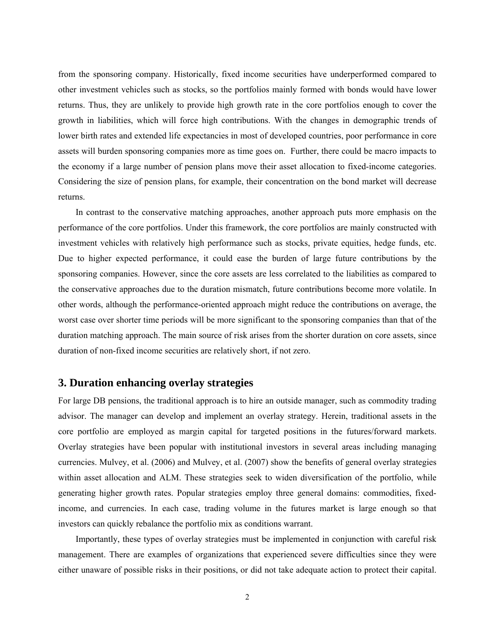from the sponsoring company. Historically, fixed income securities have underperformed compared to other investment vehicles such as stocks, so the portfolios mainly formed with bonds would have lower returns. Thus, they are unlikely to provide high growth rate in the core portfolios enough to cover the growth in liabilities, which will force high contributions. With the changes in demographic trends of lower birth rates and extended life expectancies in most of developed countries, poor performance in core assets will burden sponsoring companies more as time goes on. Further, there could be macro impacts to the economy if a large number of pension plans move their asset allocation to fixed-income categories. Considering the size of pension plans, for example, their concentration on the bond market will decrease returns.

In contrast to the conservative matching approaches, another approach puts more emphasis on the performance of the core portfolios. Under this framework, the core portfolios are mainly constructed with investment vehicles with relatively high performance such as stocks, private equities, hedge funds, etc. Due to higher expected performance, it could ease the burden of large future contributions by the sponsoring companies. However, since the core assets are less correlated to the liabilities as compared to the conservative approaches due to the duration mismatch, future contributions become more volatile. In other words, although the performance-oriented approach might reduce the contributions on average, the worst case over shorter time periods will be more significant to the sponsoring companies than that of the duration matching approach. The main source of risk arises from the shorter duration on core assets, since duration of non-fixed income securities are relatively short, if not zero.

### **3. Duration enhancing overlay strategies**

For large DB pensions, the traditional approach is to hire an outside manager, such as commodity trading advisor. The manager can develop and implement an overlay strategy. Herein, traditional assets in the core portfolio are employed as margin capital for targeted positions in the futures/forward markets. Overlay strategies have been popular with institutional investors in several areas including managing currencies. Mulvey, et al. (2006) and Mulvey, et al. (2007) show the benefits of general overlay strategies within asset allocation and ALM. These strategies seek to widen diversification of the portfolio, while generating higher growth rates. Popular strategies employ three general domains: commodities, fixedincome, and currencies. In each case, trading volume in the futures market is large enough so that investors can quickly rebalance the portfolio mix as conditions warrant.

Importantly, these types of overlay strategies must be implemented in conjunction with careful risk management. There are examples of organizations that experienced severe difficulties since they were either unaware of possible risks in their positions, or did not take adequate action to protect their capital.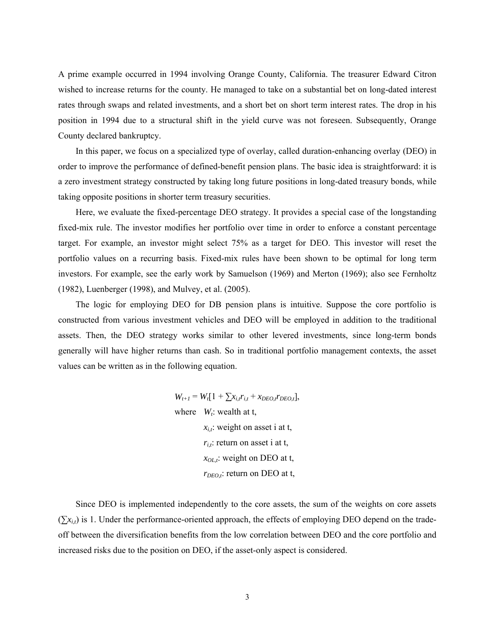A prime example occurred in 1994 involving Orange County, California. The treasurer Edward Citron wished to increase returns for the county. He managed to take on a substantial bet on long-dated interest rates through swaps and related investments, and a short bet on short term interest rates. The drop in his position in 1994 due to a structural shift in the yield curve was not foreseen. Subsequently, Orange County declared bankruptcy.

In this paper, we focus on a specialized type of overlay, called duration-enhancing overlay (DEO) in order to improve the performance of defined-benefit pension plans. The basic idea is straightforward: it is a zero investment strategy constructed by taking long future positions in long-dated treasury bonds, while taking opposite positions in shorter term treasury securities.

Here, we evaluate the fixed-percentage DEO strategy. It provides a special case of the longstanding fixed-mix rule. The investor modifies her portfolio over time in order to enforce a constant percentage target. For example, an investor might select 75% as a target for DEO. This investor will reset the portfolio values on a recurring basis. Fixed-mix rules have been shown to be optimal for long term investors. For example, see the early work by Samuelson (1969) and Merton (1969); also see Fernholtz (1982), Luenberger (1998), and Mulvey, et al. (2005).

The logic for employing DEO for DB pension plans is intuitive. Suppose the core portfolio is constructed from various investment vehicles and DEO will be employed in addition to the traditional assets. Then, the DEO strategy works similar to other levered investments, since long-term bonds generally will have higher returns than cash. So in traditional portfolio management contexts, the asset values can be written as in the following equation.

> $W_{t+1} = W_t[1 + \sum x_{i,t} r_{i,t} + x_{DEO,t} r_{DEO,t}],$ where  $W_t$ : wealth at t, *xi,t*: weight on asset i at t, *ri,t*: return on asset i at t, *xOL,t*: weight on DEO at t, *rDEO,t*: return on DEO at t,

Since DEO is implemented independently to the core assets, the sum of the weights on core assets  $(\sum x_{i,t})$  is 1. Under the performance-oriented approach, the effects of employing DEO depend on the tradeoff between the diversification benefits from the low correlation between DEO and the core portfolio and increased risks due to the position on DEO, if the asset-only aspect is considered.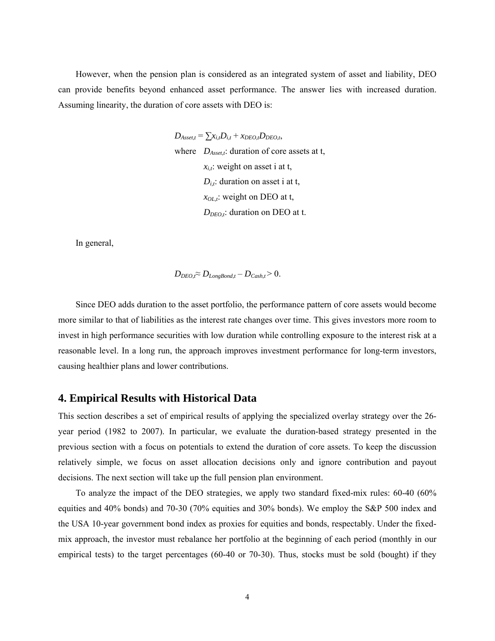However, when the pension plan is considered as an integrated system of asset and liability, DEO can provide benefits beyond enhanced asset performance. The answer lies with increased duration. Assuming linearity, the duration of core assets with DEO is:

> $D_{\text{Asset},t} = \sum_{i} x_{i,t} D_{i,t} + x_{DEO,t} D_{DEO,t}$ where *D<sub>Asset,t</sub>*: duration of core assets at t,  $x_{i,t}$ : weight on asset i at t,  $D_{i,t}$ : duration on asset i at t, *xOL,t*: weight on DEO at t, *DDEO,t*: duration on DEO at t.

In general,

$$
D_{DEO,t} \approx D_{LongBond,t} - D_{Cash,t} > 0.
$$

Since DEO adds duration to the asset portfolio, the performance pattern of core assets would become more similar to that of liabilities as the interest rate changes over time. This gives investors more room to invest in high performance securities with low duration while controlling exposure to the interest risk at a reasonable level. In a long run, the approach improves investment performance for long-term investors, causing healthier plans and lower contributions.

### **4. Empirical Results with Historical Data**

This section describes a set of empirical results of applying the specialized overlay strategy over the 26 year period (1982 to 2007). In particular, we evaluate the duration-based strategy presented in the previous section with a focus on potentials to extend the duration of core assets. To keep the discussion relatively simple, we focus on asset allocation decisions only and ignore contribution and payout decisions. The next section will take up the full pension plan environment.

To analyze the impact of the DEO strategies, we apply two standard fixed-mix rules: 60-40 (60% equities and 40% bonds) and 70-30 (70% equities and 30% bonds). We employ the S&P 500 index and the USA 10-year government bond index as proxies for equities and bonds, respectably. Under the fixedmix approach, the investor must rebalance her portfolio at the beginning of each period (monthly in our empirical tests) to the target percentages (60-40 or 70-30). Thus, stocks must be sold (bought) if they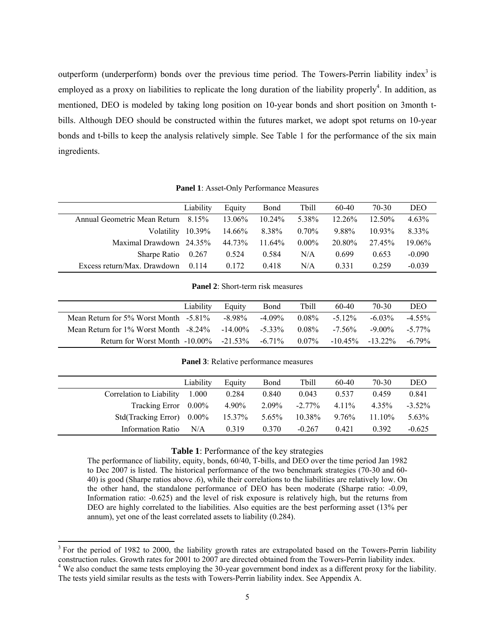outperform (underperform) bonds over the previous time period. The Towers-Perrin liability index<sup>3</sup> is employed as a proxy on liabilities to replicate the long duration of the liability properly<sup>4</sup>. In addition, as mentioned, DEO is modeled by taking long position on 10-year bonds and short position on 3month tbills. Although DEO should be constructed within the futures market, we adopt spot returns on 10-year bonds and t-bills to keep the analysis relatively simple. See Table 1 for the performance of the six main ingredients.

**Panel 1**: Asset-Only Performance Measures

|                              | Liability | Equity    | Bond      | <b>Tbill</b> | 60-40     | 70-30     | DEO      |
|------------------------------|-----------|-----------|-----------|--------------|-----------|-----------|----------|
| Annual Geometric Mean Return | 8.15%     | $13.06\%$ | $10.24\%$ | 5.38%        | $12.26\%$ | $12.50\%$ | 4.63%    |
| Volatility                   | 10.39%    | 14.66%    | 8.38%     | $0.70\%$     | 9.88%     | 1093%     | 8.33%    |
| Maximal Drawdown $24.35\%$   |           | 44 73%    | $11.64\%$ | $0.00\%$     | 20.80%    | 2745%     | 19.06%   |
| <b>Sharpe Ratio</b>          | 0.267     | 0.524     | 0.584     | N/A          | 0.699     | 0.653     | $-0.090$ |
| Excess return/Max. Drawdown  | 0.114     | 0.172     | 0.418     | N/A          | 0 3 3 1   | 0.259     | $-0.039$ |

**Panel 2**: Short-term risk measures

|                                                                  | Liability | Equity | Bond      | <b>Tbill</b> | 60-40      | 70-30     | DEO       |
|------------------------------------------------------------------|-----------|--------|-----------|--------------|------------|-----------|-----------|
| Mean Return for $5\%$ Worst Month $-5.81\%$                      |           | -8.98% | $-4.09\%$ | $0.08\%$     | $-512\%$   | $-6.03\%$ | $-4.55\%$ |
| Mean Return for $1\%$ Worst Month $-8.24\%$ $-14.00\%$ $-5.33\%$ |           |        |           | $0.08\%$     | $-7.56\%$  | $-9.00\%$ | $-5.77\%$ |
| Return for Worst Month $-10.00\%$ $-21.53\%$                     |           |        | $-6.71\%$ | $0.07\%$     | $-10.45\%$ | $-1322\%$ | $-6.79\%$ |

**Panel 3**: Relative performance measures

|                              | Liability | Equity | Bond  | Tbill     | 60-40    | 70-30  | DEO       |
|------------------------------|-----------|--------|-------|-----------|----------|--------|-----------|
| Correlation to Liability     | 1.000     | 0.284  | 0.840 | 0.043     | 0.537    | 0.459  | 0.841     |
| Tracking Error $0.00\%$      |           | 4.90%  | 2.09% | $-2.77\%$ | $4.11\%$ | 4.35%  | $-3.52\%$ |
| Std(Tracking Error) $0.00\%$ |           | 15.37% | 5.65% | 10.38%    | 9.76%    | 11.10% | 5.63%     |
| Information Ratio            | N/A       | 0.319  | 0.370 | $-0.267$  | 0.421    | 0.392  | $-0.625$  |

#### **Table 1**: Performance of the key strategies

The performance of liability, equity, bonds, 60/40, T-bills, and DEO over the time period Jan 1982 to Dec 2007 is listed. The historical performance of the two benchmark strategies (70-30 and 60- 40) is good (Sharpe ratios above .6), while their correlations to the liabilities are relatively low. On the other hand, the standalone performance of DEO has been moderate (Sharpe ratio: -0.09, Information ratio: -0.625) and the level of risk exposure is relatively high, but the returns from DEO are highly correlated to the liabilities. Also equities are the best performing asset (13% per annum), yet one of the least correlated assets to liability (0.284).

l

 $3$  For the period of 1982 to 2000, the liability growth rates are extrapolated based on the Towers-Perrin liability construction rules. Growth rates for 2001 to 2007 are directed obtained from the Towers-Perrin liability index.<br><sup>4</sup> We also conduct the same tests employing the 30-year government bond index as a different proxy for the li The tests yield similar results as the tests with Towers-Perrin liability index. See Appendix A.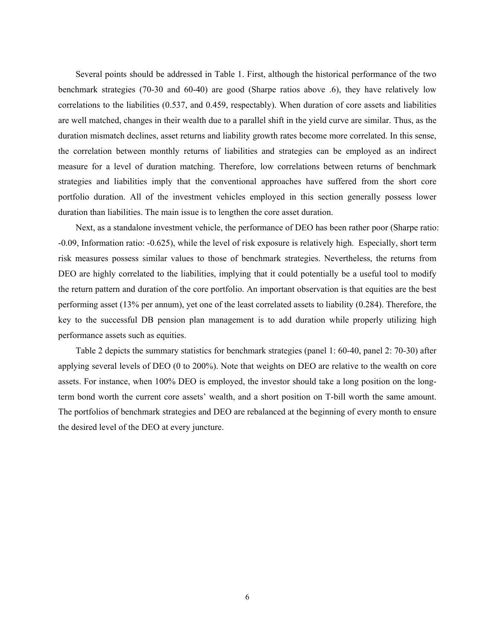Several points should be addressed in Table 1. First, although the historical performance of the two benchmark strategies (70-30 and 60-40) are good (Sharpe ratios above .6), they have relatively low correlations to the liabilities (0.537, and 0.459, respectably). When duration of core assets and liabilities are well matched, changes in their wealth due to a parallel shift in the yield curve are similar. Thus, as the duration mismatch declines, asset returns and liability growth rates become more correlated. In this sense, the correlation between monthly returns of liabilities and strategies can be employed as an indirect measure for a level of duration matching. Therefore, low correlations between returns of benchmark strategies and liabilities imply that the conventional approaches have suffered from the short core portfolio duration. All of the investment vehicles employed in this section generally possess lower duration than liabilities. The main issue is to lengthen the core asset duration.

Next, as a standalone investment vehicle, the performance of DEO has been rather poor (Sharpe ratio: -0.09, Information ratio: -0.625), while the level of risk exposure is relatively high. Especially, short term risk measures possess similar values to those of benchmark strategies. Nevertheless, the returns from DEO are highly correlated to the liabilities, implying that it could potentially be a useful tool to modify the return pattern and duration of the core portfolio. An important observation is that equities are the best performing asset (13% per annum), yet one of the least correlated assets to liability (0.284). Therefore, the key to the successful DB pension plan management is to add duration while properly utilizing high performance assets such as equities.

Table 2 depicts the summary statistics for benchmark strategies (panel 1: 60-40, panel 2: 70-30) after applying several levels of DEO (0 to 200%). Note that weights on DEO are relative to the wealth on core assets. For instance, when 100% DEO is employed, the investor should take a long position on the longterm bond worth the current core assets' wealth, and a short position on T-bill worth the same amount. The portfolios of benchmark strategies and DEO are rebalanced at the beginning of every month to ensure the desired level of the DEO at every juncture.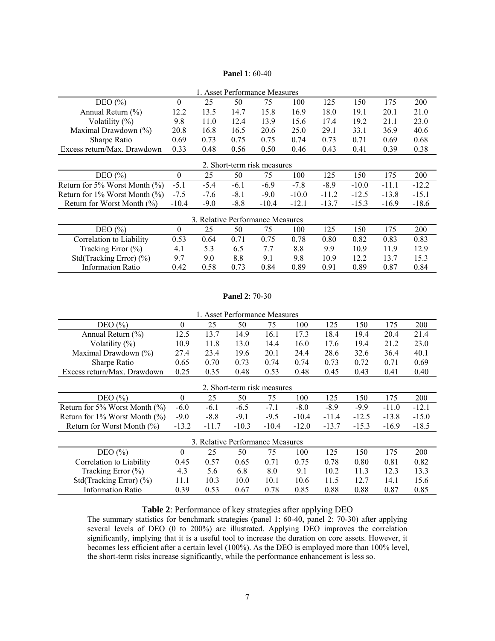### **Panel 1**: 60-40

| 1. Asset Performance Measures        |              |        |        |                                  |         |         |         |         |         |  |  |  |  |
|--------------------------------------|--------------|--------|--------|----------------------------------|---------|---------|---------|---------|---------|--|--|--|--|
| DEO $(\% )$                          | $\mathbf{0}$ | 25     | 50     | 75                               | 100     | 125     | 150     | 175     | 200     |  |  |  |  |
| Annual Return $(\% )$                | 12.2         | 13.5   | 14.7   | 15.8                             | 16.9    | 18.0    | 19.1    | 20.1    | 21.0    |  |  |  |  |
| Volatility $(\%)$                    | 9.8          | 11.0   | 12.4   | 13.9                             | 15.6    | 17.4    | 19.2    | 21.1    | 23.0    |  |  |  |  |
| Maximal Drawdown (%)                 | 20.8         | 16.8   | 16.5   | 20.6                             | 25.0    | 29.1    | 33.1    | 36.9    | 40.6    |  |  |  |  |
| Sharpe Ratio                         | 0.69         | 0.73   | 0.75   | 0.75                             | 0.74    | 0.73    | 0.71    | 0.69    | 0.68    |  |  |  |  |
| Excess return/Max. Drawdown          | 0.33         | 0.48   | 0.56   | 0.50                             | 0.46    | 0.43    | 0.41    | 0.39    | 0.38    |  |  |  |  |
| 2. Short-term risk measures          |              |        |        |                                  |         |         |         |         |         |  |  |  |  |
| DEO $(\% )$                          | $\theta$     | 25     | 50     | 75                               | 100     | 125     | 150     | 175     | 200     |  |  |  |  |
| Return for 5% Worst Month $(\%)$     | $-5.1$       | $-5.4$ | $-6.1$ | $-6.9$                           | $-7.8$  | $-8.9$  | $-10.0$ | $-11.1$ | $-12.2$ |  |  |  |  |
| Return for $1\%$ Worst Month $(\%$ ) | $-7.5$       | $-7.6$ | $-8.1$ | $-9.0$                           | $-10.0$ | $-11.2$ | $-12.5$ | $-13.8$ | $-15.1$ |  |  |  |  |
| Return for Worst Month $(\% )$       | $-10.4$      | $-9.0$ | $-8.8$ | $-10.4$                          | $-12.1$ | $-13.7$ | $-15.3$ | $-16.9$ | $-18.6$ |  |  |  |  |
|                                      |              |        |        | 3. Relative Performance Measures |         |         |         |         |         |  |  |  |  |
| DEO $(\% )$                          | $\theta$     | 25     | 50     | 75                               | 100     | 125     | 150     | 175     | 200     |  |  |  |  |
| Correlation to Liability             | 0.53         | 0.64   | 0.71   | 0.75                             | 0.78    | 0.80    | 0.82    | 0.83    | 0.83    |  |  |  |  |
| Tracking Error $(\% )$               | 4.1          | 5.3    | 6.5    | 7.7                              | 8.8     | 9.9     | 10.9    | 11.9    | 12.9    |  |  |  |  |
| Std(Tracking Error) (%)              | 9.7          | 9.0    | 8.8    | 9.1                              | 9.8     | 10.9    | 12.2    | 13.7    | 15.3    |  |  |  |  |
| <b>Information Ratio</b>             | 0.42         | 0.58   | 0.73   | 0.84                             | 0.89    | 0.91    | 0.89    | 0.87    | 0.84    |  |  |  |  |

#### **Panel 2**: 70-30

| 1. Asset Performance Measures        |              |                                  |         |         |         |         |         |         |         |  |  |  |  |
|--------------------------------------|--------------|----------------------------------|---------|---------|---------|---------|---------|---------|---------|--|--|--|--|
| DEO $(\% )$                          | 0            | 25                               | 50      | 75      | 100     | 125     | 150     | 175     | 200     |  |  |  |  |
| Annual Return $(\% )$                | 12.5         | 13.7                             | 14.9    | 16.1    | 17.3    | 18.4    | 19.4    | 20.4    | 21.4    |  |  |  |  |
| Volatility $(\%)$                    | 10.9         | 11.8                             | 13.0    | 14.4    | 16.0    | 17.6    | 19.4    | 21.2    | 23.0    |  |  |  |  |
| Maximal Drawdown (%)                 | 27.4         | 23.4                             | 19.6    | 20.1    | 24.4    | 28.6    | 32.6    | 36.4    | 40.1    |  |  |  |  |
| Sharpe Ratio                         | 0.65         | 0.70                             | 0.73    | 0.74    | 0.74    | 0.73    | 0.72    | 0.71    | 0.69    |  |  |  |  |
| Excess return/Max. Drawdown          | 0.25         | 0.35                             | 0.48    | 0.53    | 0.48    | 0.45    | 0.43    | 0.41    | 0.40    |  |  |  |  |
| 2. Short-term risk measures          |              |                                  |         |         |         |         |         |         |         |  |  |  |  |
| DEO(%)                               | $\mathbf{0}$ | 25                               | 50      | 75      | 100     | 125     | 150     | 175     | 200     |  |  |  |  |
| Return for 5% Worst Month $(\%)$     | $-6.0$       | $-6.1$                           | $-6.5$  | $-7.1$  | $-8.0$  | $-8.9$  | $-9.9$  | $-11.0$ | $-12.1$ |  |  |  |  |
| Return for $1\%$ Worst Month $(\%$ ) | $-9.0$       | $-8.8$                           | $-9.1$  | $-9.5$  | $-10.4$ | $-11.4$ | $-12.5$ | $-13.8$ | $-15.0$ |  |  |  |  |
| Return for Worst Month (%)           | $-13.2$      | $-11.7$                          | $-10.3$ | $-10.4$ | $-12.0$ | $-13.7$ | $-15.3$ | $-16.9$ | $-18.5$ |  |  |  |  |
|                                      |              | 3. Relative Performance Measures |         |         |         |         |         |         |         |  |  |  |  |
| DEO $(\% )$                          | 0            | 25                               | 50      | 75      | 100     | 125     | 150     | 175     | 200     |  |  |  |  |
| Correlation to Liability             | 0.45         | 0.57                             | 0.65    | 0.71    | 0.75    | 0.78    | 0.80    | 0.81    | 0.82    |  |  |  |  |
| Tracking Error $(\% )$               | 4.3          | 5.6                              | 6.8     | 8.0     | 9.1     | 10.2    | 11.3    | 12.3    | 13.3    |  |  |  |  |
| Std(Tracking Error) $(\% )$          | 11.1         | 10.3                             | 10.0    | 10.1    | 10.6    | 11.5    | 12.7    | 14.1    | 15.6    |  |  |  |  |
| <b>Information Ratio</b>             | 0.39         | 0.53                             | 0.67    | 0.78    | 0.85    | 0.88    | 0.88    | 0.87    | 0.85    |  |  |  |  |

### **Table 2**: Performance of key strategies after applying DEO

The summary statistics for benchmark strategies (panel 1: 60-40, panel 2: 70-30) after applying several levels of DEO (0 to 200%) are illustrated. Applying DEO improves the correlation significantly, implying that it is a useful tool to increase the duration on core assets. However, it becomes less efficient after a certain level (100%). As the DEO is employed more than 100% level, the short-term risks increase significantly, while the performance enhancement is less so.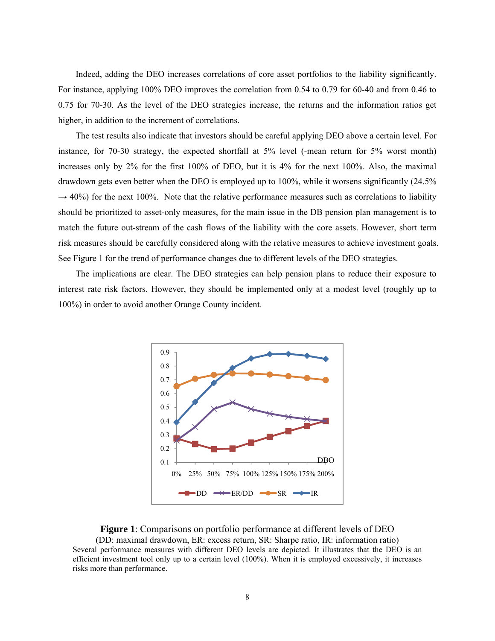Indeed, adding the DEO increases correlations of core asset portfolios to the liability significantly. For instance, applying 100% DEO improves the correlation from 0.54 to 0.79 for 60-40 and from 0.46 to 0.75 for 70-30. As the level of the DEO strategies increase, the returns and the information ratios get higher, in addition to the increment of correlations.

The test results also indicate that investors should be careful applying DEO above a certain level. For instance, for 70-30 strategy, the expected shortfall at 5% level (-mean return for 5% worst month) increases only by 2% for the first 100% of DEO, but it is 4% for the next 100%. Also, the maximal drawdown gets even better when the DEO is employed up to 100%, while it worsens significantly (24.5%  $\rightarrow$  40%) for the next 100%. Note that the relative performance measures such as correlations to liability should be prioritized to asset-only measures, for the main issue in the DB pension plan management is to match the future out-stream of the cash flows of the liability with the core assets. However, short term risk measures should be carefully considered along with the relative measures to achieve investment goals. See Figure 1 for the trend of performance changes due to different levels of the DEO strategies.

The implications are clear. The DEO strategies can help pension plans to reduce their exposure to interest rate risk factors. However, they should be implemented only at a modest level (roughly up to 100%) in order to avoid another Orange County incident.



**Figure 1**: Comparisons on portfolio performance at different levels of DEO (DD: maximal drawdown, ER: excess return, SR: Sharpe ratio, IR: information ratio) Several performance measures with different DEO levels are depicted. It illustrates that the DEO is an efficient investment tool only up to a certain level (100%). When it is employed excessively, it increases risks more than performance.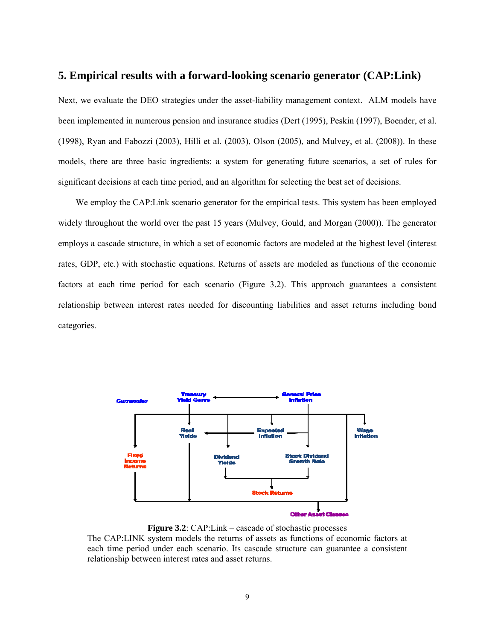### **5. Empirical results with a forward-looking scenario generator (CAP:Link)**

Next, we evaluate the DEO strategies under the asset-liability management context. ALM models have been implemented in numerous pension and insurance studies (Dert (1995), Peskin (1997), Boender, et al. (1998), Ryan and Fabozzi (2003), Hilli et al. (2003), Olson (2005), and Mulvey, et al. (2008)). In these models, there are three basic ingredients: a system for generating future scenarios, a set of rules for significant decisions at each time period, and an algorithm for selecting the best set of decisions.

We employ the CAP:Link scenario generator for the empirical tests. This system has been employed widely throughout the world over the past 15 years (Mulvey, Gould, and Morgan (2000)). The generator employs a cascade structure, in which a set of economic factors are modeled at the highest level (interest rates, GDP, etc.) with stochastic equations. Returns of assets are modeled as functions of the economic factors at each time period for each scenario (Figure 3.2). This approach guarantees a consistent relationship between interest rates needed for discounting liabilities and asset returns including bond categories.



**Figure 3.2**: CAP:Link – cascade of stochastic processes

The CAP:LINK system models the returns of assets as functions of economic factors at each time period under each scenario. Its cascade structure can guarantee a consistent relationship between interest rates and asset returns.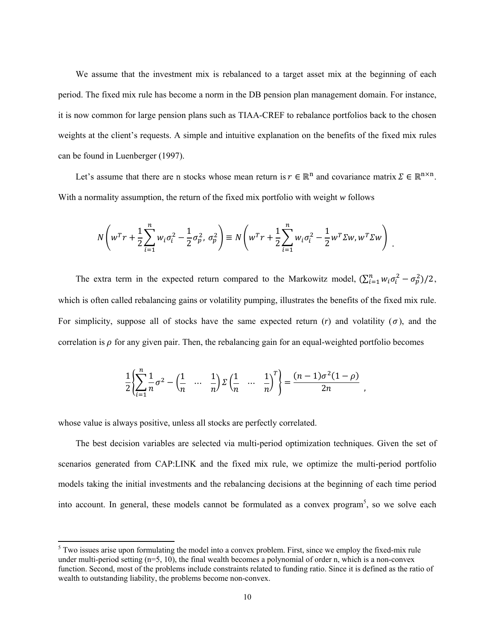We assume that the investment mix is rebalanced to a target asset mix at the beginning of each period. The fixed mix rule has become a norm in the DB pension plan management domain. For instance, it is now common for large pension plans such as TIAA-CREF to rebalance portfolios back to the chosen weights at the client's requests. A simple and intuitive explanation on the benefits of the fixed mix rules can be found in Luenberger (1997).

Let's assume that there are n stocks whose mean return is  $r \in \mathbb{R}^n$  and covariance matrix  $\Sigma \in \mathbb{R}^{n \times n}$ . With a normality assumption, the return of the fixed mix portfolio with weight *w* follows

$$
N\left(w^{T}r + \frac{1}{2}\sum_{i=1}^{n} w_{i}\sigma_{i}^{2} - \frac{1}{2}\sigma_{p}^{2}, \sigma_{p}^{2}\right) \equiv N\left(w^{T}r + \frac{1}{2}\sum_{i=1}^{n} w_{i}\sigma_{i}^{2} - \frac{1}{2}w^{T}\Sigma w, w^{T}\Sigma w\right).
$$

The extra term in the expected return compared to the Markowitz model,  $(\sum_{i=1}^{n} w_i \sigma_i^2 - \sigma_p^2)/2$ , which is often called rebalancing gains or volatility pumping, illustrates the benefits of the fixed mix rule. For simplicity, suppose all of stocks have the same expected return  $(r)$  and volatility  $(\sigma)$ , and the correlation is  $\rho$  for any given pair. Then, the rebalancing gain for an equal-weighted portfolio becomes

$$
\frac{1}{2} \left\{ \sum_{i=1}^{n} \frac{1}{n} \sigma^{2} - \left( \frac{1}{n} \quad \cdots \quad \frac{1}{n} \right) \Sigma \left( \frac{1}{n} \quad \cdots \quad \frac{1}{n} \right)^{T} \right\} = \frac{(n-1)\sigma^{2}(1-\rho)}{2n} ,
$$

whose value is always positive, unless all stocks are perfectly correlated.

1

The best decision variables are selected via multi-period optimization techniques. Given the set of scenarios generated from CAP:LINK and the fixed mix rule, we optimize the multi-period portfolio models taking the initial investments and the rebalancing decisions at the beginning of each time period into account. In general, these models cannot be formulated as a convex program<sup>5</sup>, so we solve each

 $5$  Two issues arise upon formulating the model into a convex problem. First, since we employ the fixed-mix rule under multi-period setting  $(n=5, 10)$ , the final wealth becomes a polynomial of order n, which is a non-convex function. Second, most of the problems include constraints related to funding ratio. Since it is defined as the ratio of wealth to outstanding liability, the problems become non-convex.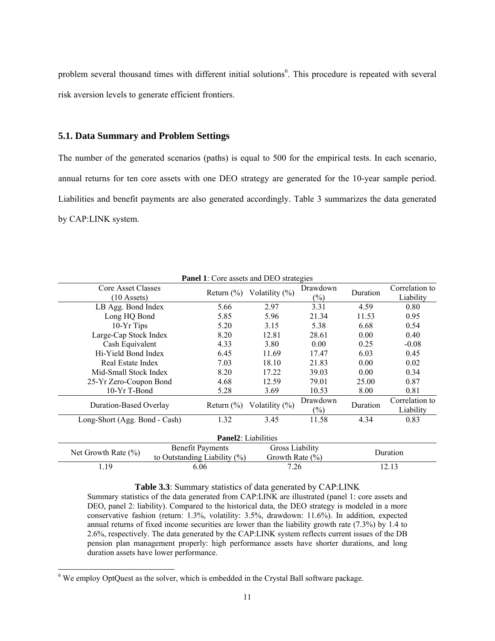problem several thousand times with different initial solutions<sup>6</sup>. This procedure is repeated with several risk aversion levels to generate efficient frontiers.

### **5.1. Data Summary and Problem Settings**

The number of the generated scenarios (paths) is equal to 500 for the empirical tests. In each scenario, annual returns for ten core assets with one DEO strategy are generated for the 10-year sample period. Liabilities and benefit payments are also generated accordingly. Table 3 summarizes the data generated by CAP:LINK system.

| <b>Panel 1:</b> Core assets and DEO strategies |                              |                         |                                               |                            |          |                             |  |  |  |  |  |  |  |
|------------------------------------------------|------------------------------|-------------------------|-----------------------------------------------|----------------------------|----------|-----------------------------|--|--|--|--|--|--|--|
| Core Asset Classes<br>$(10 \text{ Assets})$    |                              |                         | Return $(\%)$ Volatility $(\%)$               | Drawdown<br>$(\%)$         | Duration | Correlation to<br>Liability |  |  |  |  |  |  |  |
| LB Agg. Bond Index                             |                              | 5.66                    | 2.97                                          | 3.31                       | 4.59     | 0.80                        |  |  |  |  |  |  |  |
| Long HQ Bond                                   |                              | 5.85                    | 5.96                                          | 21.34                      | 11.53    | 0.95                        |  |  |  |  |  |  |  |
| 10-Yr Tips                                     |                              | 5.20                    | 3.15                                          | 5.38                       | 6.68     | 0.54                        |  |  |  |  |  |  |  |
| Large-Cap Stock Index                          |                              | 8.20                    | 12.81                                         | 28.61                      | 0.00     | 0.40                        |  |  |  |  |  |  |  |
| Cash Equivalent                                |                              | 4.33                    | 3.80                                          | 0.00                       | 0.25     | $-0.08$                     |  |  |  |  |  |  |  |
| Hi-Yield Bond Index                            |                              | 6.45                    | 11.69                                         | 17.47                      | 6.03     | 0.45                        |  |  |  |  |  |  |  |
| Real Estate Index                              |                              | 7.03                    | 18.10                                         | 21.83                      | 0.00     | 0.02                        |  |  |  |  |  |  |  |
| Mid-Small Stock Index                          |                              | 8.20                    | 17.22                                         | 39.03                      | 0.00     | 0.34                        |  |  |  |  |  |  |  |
| 25-Yr Zero-Coupon Bond                         |                              | 4.68                    | 12.59                                         | 79.01                      | 25.00    | 0.87                        |  |  |  |  |  |  |  |
| 10-Yr T-Bond                                   |                              | 5.28                    | 3.69                                          | 10.53                      | 8.00     | 0.81                        |  |  |  |  |  |  |  |
| Duration-Based Overlay                         |                              | Return $(\% )$          | Volatility $(\%)$                             | Drawdown<br>$\binom{0}{0}$ | Duration | Correlation to<br>Liability |  |  |  |  |  |  |  |
| Long-Short (Agg. Bond - Cash)                  |                              | 1.32                    | 3.45                                          | 11.58                      | 4.34     | 0.83                        |  |  |  |  |  |  |  |
| <b>Panel2</b> : Liabilities                    |                              |                         |                                               |                            |          |                             |  |  |  |  |  |  |  |
| Net Growth Rate $(\% )$                        | to Outstanding Liability (%) | <b>Benefit Payments</b> | <b>Gross Liability</b><br>Growth Rate $(\% )$ |                            |          | Duration                    |  |  |  |  |  |  |  |
| 1.19                                           |                              | 6.06                    | 7.26                                          |                            |          | 12.13                       |  |  |  |  |  |  |  |

**Table 3.3**: Summary statistics of data generated by CAP:LINK

Summary statistics of the data generated from CAP:LINK are illustrated (panel 1: core assets and DEO, panel 2: liability). Compared to the historical data, the DEO strategy is modeled in a more conservative fashion (return: 1.3%, volatility: 3.5%, drawdown: 11.6%). In addition, expected annual returns of fixed income securities are lower than the liability growth rate (7.3%) by 1.4 to 2.6%, respectively. The data generated by the CAP:LINK system reflects current issues of the DB pension plan management properly: high performance assets have shorter durations, and long duration assets have lower performance.

l

 $6$  We employ OptQuest as the solver, which is embedded in the Crystal Ball software package.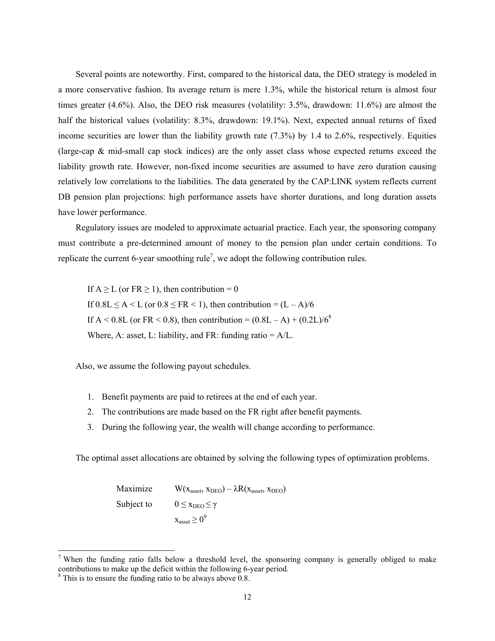Several points are noteworthy. First, compared to the historical data, the DEO strategy is modeled in a more conservative fashion. Its average return is mere 1.3%, while the historical return is almost four times greater (4.6%). Also, the DEO risk measures (volatility: 3.5%, drawdown: 11.6%) are almost the half the historical values (volatility: 8.3%, drawdown: 19.1%). Next, expected annual returns of fixed income securities are lower than the liability growth rate (7.3%) by 1.4 to 2.6%, respectively. Equities (large-cap & mid-small cap stock indices) are the only asset class whose expected returns exceed the liability growth rate. However, non-fixed income securities are assumed to have zero duration causing relatively low correlations to the liabilities. The data generated by the CAP:LINK system reflects current DB pension plan projections: high performance assets have shorter durations, and long duration assets have lower performance.

Regulatory issues are modeled to approximate actuarial practice. Each year, the sponsoring company must contribute a pre-determined amount of money to the pension plan under certain conditions. To replicate the current 6-year smoothing rule<sup>7</sup>, we adopt the following contribution rules.

If  $A \ge L$  (or  $FR \ge 1$ ), then contribution = 0 If  $0.8L \leq A \leq L$  (or  $0.8 \leq FR \leq 1$ ), then contribution =  $(L - A)/6$ If A < 0.8L (or FR < 0.8), then contribution =  $(0.8L - A) + (0.2L)/6^8$ Where, A: asset, L: liability, and FR: funding ratio  $= A/L$ .

Also, we assume the following payout schedules.

- 1. Benefit payments are paid to retirees at the end of each year.
- 2. The contributions are made based on the FR right after benefit payments.
- 3. During the following year, the wealth will change according to performance.

The optimal asset allocations are obtained by solving the following types of optimization problems.

Maximize  $W(x_{asset}, x_{DEO}) - \lambda R(x_{asset}, x_{DEO})$ Subject to  $0 \le x_{\text{DEO}} \le \gamma$  $x_{\text{asset}} \geq 0^9$ 

1

<sup>&</sup>lt;sup>7</sup> When the funding ratio falls below a threshold level, the sponsoring company is generally obliged to make contributions to make up the deficit within the following 6-year period.

 $8 \text{ This is to ensure the funding ratio to be always above } 0.8.$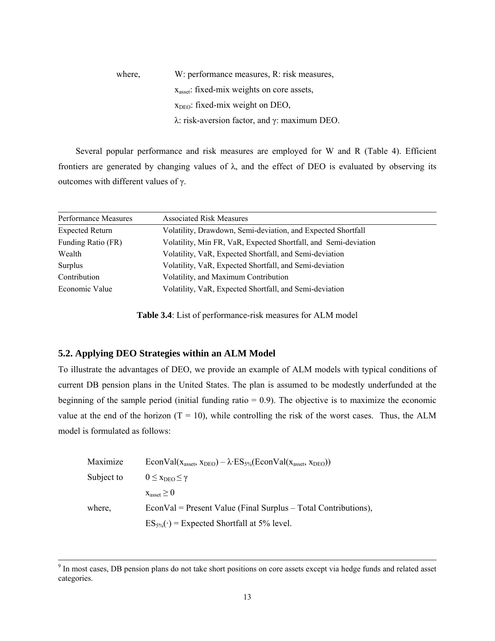where, W: performance measures, R: risk measures, xasset: fixed-mix weights on core assets,  $x<sub>DEO</sub>$ : fixed-mix weight on DEO, λ: risk-aversion factor, and γ: maximum DEO.

Several popular performance and risk measures are employed for W and R (Table 4). Efficient frontiers are generated by changing values of  $\lambda$ , and the effect of DEO is evaluated by observing its outcomes with different values of γ.

| Performance Measures   | <b>Associated Risk Measures</b>                                 |
|------------------------|-----------------------------------------------------------------|
| <b>Expected Return</b> | Volatility, Drawdown, Semi-deviation, and Expected Shortfall    |
| Funding Ratio (FR)     | Volatility, Min FR, VaR, Expected Shortfall, and Semi-deviation |
| Wealth                 | Volatility, VaR, Expected Shortfall, and Semi-deviation         |
| Surplus                | Volatility, VaR, Expected Shortfall, and Semi-deviation         |
| Contribution           | Volatility, and Maximum Contribution                            |
| Economic Value         | Volatility, VaR, Expected Shortfall, and Semi-deviation         |

**Table 3.4**: List of performance-risk measures for ALM model

### **5.2. Applying DEO Strategies within an ALM Model**

To illustrate the advantages of DEO, we provide an example of ALM models with typical conditions of current DB pension plans in the United States. The plan is assumed to be modestly underfunded at the beginning of the sample period (initial funding ratio  $= 0.9$ ). The objective is to maximize the economic value at the end of the horizon  $(T = 10)$ , while controlling the risk of the worst cases. Thus, the ALM model is formulated as follows:

| Maximize   | $EconVal(x_{asset}, x_{DEO}) - \lambda \cdot ES_{5\%}(EconVal(x_{asset}, x_{DEO}))$ |
|------------|-------------------------------------------------------------------------------------|
| Subject to | $0 \leq x_{\text{DEO}} \leq \gamma$                                                 |
|            | $x_{\text{asset}} \geq 0$                                                           |
| where,     | $EconVal = Present Value (Final Surplus - Total Contributions),$                    |
|            | $ES_{5\%}(\cdot)$ = Expected Shortfall at 5% level.                                 |

<sup>-&</sup>lt;br>9 <sup>9</sup> In most cases, DB pension plans do not take short positions on core assets except via hedge funds and related asset categories.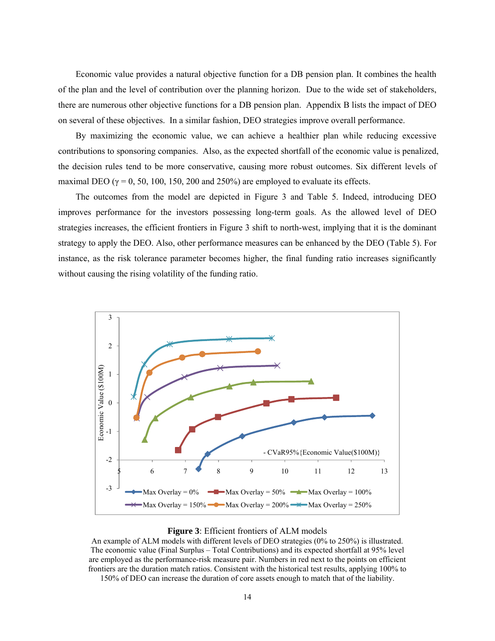Economic value provides a natural objective function for a DB pension plan. It combines the health of the plan and the level of contribution over the planning horizon. Due to the wide set of stakeholders, there are numerous other objective functions for a DB pension plan. Appendix B lists the impact of DEO on several of these objectives. In a similar fashion, DEO strategies improve overall performance.

By maximizing the economic value, we can achieve a healthier plan while reducing excessive contributions to sponsoring companies. Also, as the expected shortfall of the economic value is penalized, the decision rules tend to be more conservative, causing more robust outcomes. Six different levels of maximal DEO ( $\gamma = 0$ , 50, 100, 150, 200 and 250%) are employed to evaluate its effects.

The outcomes from the model are depicted in Figure 3 and Table 5. Indeed, introducing DEO improves performance for the investors possessing long-term goals. As the allowed level of DEO strategies increases, the efficient frontiers in Figure 3 shift to north-west, implying that it is the dominant strategy to apply the DEO. Also, other performance measures can be enhanced by the DEO (Table 5). For instance, as the risk tolerance parameter becomes higher, the final funding ratio increases significantly without causing the rising volatility of the funding ratio.



### **Figure 3**: Efficient frontiers of ALM models

An example of ALM models with different levels of DEO strategies (0% to 250%) is illustrated. The economic value (Final Surplus – Total Contributions) and its expected shortfall at 95% level are employed as the performance-risk measure pair. Numbers in red next to the points on efficient frontiers are the duration match ratios. Consistent with the historical test results, applying 100% to

150% of DEO can increase the duration of core assets enough to match that of the liability.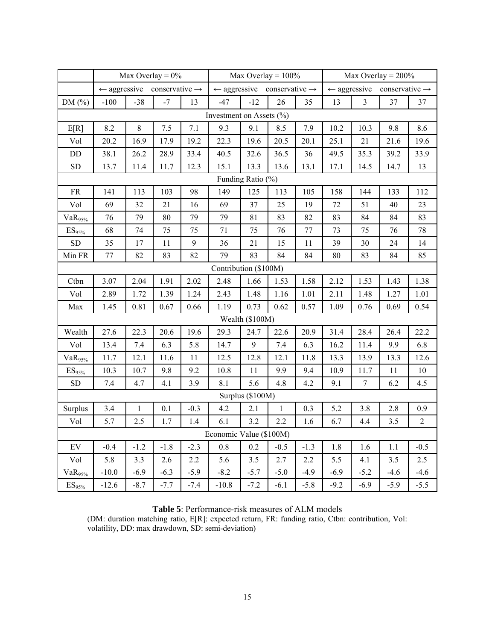|                       |         |              | Max Overlay = $0\%$                                |        |                          | Max Overlay = $100\%$                              |        |        | Max Overlay = $200\%$ |                |                                                    |              |
|-----------------------|---------|--------------|----------------------------------------------------|--------|--------------------------|----------------------------------------------------|--------|--------|-----------------------|----------------|----------------------------------------------------|--------------|
|                       |         |              | $\leftarrow$ aggressive conservative $\rightarrow$ |        |                          | $\leftarrow$ aggressive conservative $\rightarrow$ |        |        |                       |                | $\leftarrow$ aggressive conservative $\rightarrow$ |              |
| DM $(\%)$             | $-100$  | $-38$        | $-7$                                               | 13     | $-47$                    | $-12$                                              | 26     | 35     | 13                    | $\overline{3}$ | 37                                                 | 37           |
|                       |         |              |                                                    |        | Investment on Assets (%) |                                                    |        |        |                       |                |                                                    |              |
| E[R]                  | 8.2     | $8\,$        | 7.5                                                | 7.1    | 9.3                      | 9.1                                                | 8.5    | 7.9    | 10.2                  | 10.3           | 9.8                                                | 8.6          |
| Vol                   | 20.2    | 16.9         | 17.9                                               | 19.2   | 22.3                     | 19.6                                               | 20.5   | 20.1   | 25.1                  | 21             | 21.6                                               | 19.6         |
| DD                    | 38.1    | 26.2         | 28.9                                               | 33.4   | 40.5                     | 32.6                                               | 36.5   | 36     | 49.5                  | 35.3           | 39.2                                               | 33.9         |
| <b>SD</b>             | 13.7    | 11.4         | 11.7                                               | 12.3   | 15.1                     | 13.3                                               | 13.6   | 13.1   | 17.1                  | 14.5           | 14.7                                               | 13           |
|                       |         |              |                                                    |        |                          | Funding Ratio (%)                                  |        |        |                       |                |                                                    |              |
| <b>FR</b>             | 141     | 113          | 103                                                | 98     | 149                      | 125                                                | 113    | 105    | 158                   | 144            | 133                                                | 112          |
| Vol                   | 69      | 32           | 21                                                 | 16     | 69                       | 37                                                 | 25     | 19     | 72                    | 51             | 40                                                 | 23           |
| VaR <sub>95%</sub>    | 76      | 79           | 80                                                 | 79     | 79                       | 81                                                 | 83     | 82     | 83                    | 84             | 84                                                 | 83           |
| $\mathrm{ES}_{95\%}$  | 68      | 74           | 75                                                 | 75     | 71                       | 75                                                 | 76     | 77     | 73                    | 75             | 76                                                 | 78           |
| ${\rm SD}$            | 35      | 17           | 11                                                 | 9      | 36                       | 21                                                 | 15     | 11     | 39                    | 30             | 24                                                 | 14           |
| Min FR                | 77      | 82           | 83                                                 | 82     | 79                       | 83                                                 | 84     | 84     | 80                    | 83             | 84                                                 | 85           |
| Contribution (\$100M) |         |              |                                                    |        |                          |                                                    |        |        |                       |                |                                                    |              |
| Ctbn                  | 3.07    | 2.04         | 1.91                                               | 2.02   | 2.48                     | 1.66                                               | 1.53   | 1.58   | 2.12                  | 1.53           | 1.43                                               | 1.38         |
| Vol                   | 2.89    | 1.72         | 1.39                                               | 1.24   | 2.43                     | 1.48                                               | 1.16   | 1.01   | 2.11                  | 1.48           | 1.27                                               | 1.01         |
| Max                   | 1.45    | 0.81         | 0.67                                               | 0.66   | 1.19                     | 0.73                                               | 0.62   | 0.57   | 1.09                  | 0.76           | 0.69                                               | 0.54         |
|                       |         |              |                                                    |        |                          | Wealth (\$100M)                                    |        |        |                       |                |                                                    |              |
| Wealth                | 27.6    | 22.3         | 20.6                                               | 19.6   | 29.3                     | 24.7                                               | 22.6   | 20.9   | 31.4                  | 28.4           | 26.4                                               | 22.2         |
| Vol                   | 13.4    | 7.4          | 6.3                                                | 5.8    | 14.7                     | 9                                                  | 7.4    | 6.3    | 16.2                  | 11.4           | 9.9                                                | 6.8          |
| VaR <sub>95%</sub>    | 11.7    | 12.1         | 11.6                                               | 11     | 12.5                     | 12.8                                               | 12.1   | 11.8   | 13.3                  | 13.9           | 13.3                                               | 12.6         |
| ES <sub>95%</sub>     | 10.3    | 10.7         | 9.8                                                | 9.2    | 10.8                     | 11                                                 | 9.9    | 9.4    | 10.9                  | 11.7           | 11                                                 | $10\,$       |
| <b>SD</b>             | 7.4     | 4.7          | 4.1                                                | 3.9    | 8.1                      | 5.6                                                | 4.8    | 4.2    | 9.1                   | $\tau$         | 6.2                                                | 4.5          |
|                       |         |              |                                                    |        |                          | Surplus (\$100M)                                   |        |        |                       |                |                                                    |              |
| Surplus               | 3.4     | $\mathbf{1}$ | 0.1                                                | $-0.3$ | 4.2                      | 2.1                                                | 1      | 0.3    | 5.2                   | 3.8            | 2.8                                                | 0.9          |
| Vol                   | 5.7     | 2.5          | 1.7                                                | 1.4    | 6.1                      | 3.2                                                | 2.2    | 1.6    | 6.7                   | 4.4            | 3.5                                                | $\mathbf{2}$ |
|                       |         |              |                                                    |        | Economic Value (\$100M)  |                                                    |        |        |                       |                |                                                    |              |
| EV                    | $-0.4$  | $-1.2$       | $-1.8$                                             | $-2.3$ | 0.8                      | 0.2                                                | $-0.5$ | $-1.3$ | 1.8                   | 1.6            | 1.1                                                | $-0.5$       |
| Vol                   | 5.8     | 3.3          | 2.6                                                | 2.2    | 5.6                      | 3.5                                                | 2.7    | 2.2    | 5.5                   | 4.1            | 3.5                                                | 2.5          |
| $VaR_{95\%}$          | $-10.0$ | $-6.9$       | $-6.3$                                             | $-5.9$ | $-8.2$                   | $-5.7$                                             | $-5.0$ | $-4.9$ | $-6.9$                | $-5.2$         | $-4.6$                                             | $-4.6$       |
| $ES_{95\%}$           | $-12.6$ | $-8.7$       | $-7.7$                                             | $-7.4$ | $-10.8$                  | $-7.2$                                             | $-6.1$ | $-5.8$ | $-9.2$                | $-6.9$         | $-5.9$                                             | $-5.5$       |

**Table 5**: Performance-risk measures of ALM models

(DM: duration matching ratio, E[R]: expected return, FR: funding ratio, Ctbn: contribution, Vol: volatility, DD: max drawdown, SD: semi-deviation)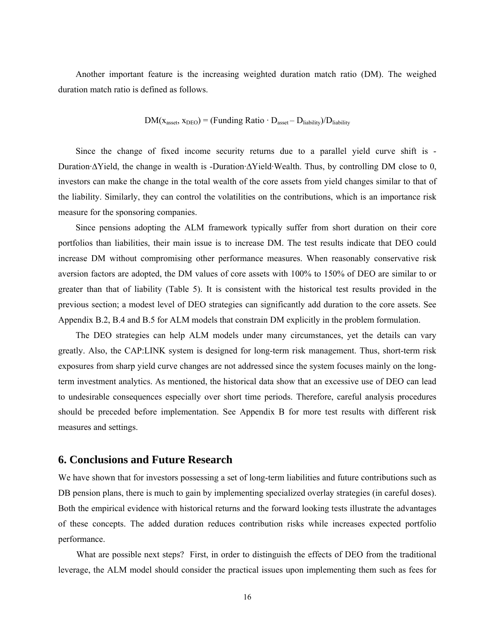Another important feature is the increasing weighted duration match ratio (DM). The weighed duration match ratio is defined as follows.

$$
DM(x_{asset}, x_{DEO}) = (Funding Ratio \cdot D_{asset} - D_{liability})/D_{liability}
$$

Since the change of fixed income security returns due to a parallel yield curve shift is - Duration·∆Yield, the change in wealth is -Duration·∆Yield·Wealth. Thus, by controlling DM close to 0, investors can make the change in the total wealth of the core assets from yield changes similar to that of the liability. Similarly, they can control the volatilities on the contributions, which is an importance risk measure for the sponsoring companies.

Since pensions adopting the ALM framework typically suffer from short duration on their core portfolios than liabilities, their main issue is to increase DM. The test results indicate that DEO could increase DM without compromising other performance measures. When reasonably conservative risk aversion factors are adopted, the DM values of core assets with 100% to 150% of DEO are similar to or greater than that of liability (Table 5). It is consistent with the historical test results provided in the previous section; a modest level of DEO strategies can significantly add duration to the core assets. See Appendix B.2, B.4 and B.5 for ALM models that constrain DM explicitly in the problem formulation.

The DEO strategies can help ALM models under many circumstances, yet the details can vary greatly. Also, the CAP:LINK system is designed for long-term risk management. Thus, short-term risk exposures from sharp yield curve changes are not addressed since the system focuses mainly on the longterm investment analytics. As mentioned, the historical data show that an excessive use of DEO can lead to undesirable consequences especially over short time periods. Therefore, careful analysis procedures should be preceded before implementation. See Appendix B for more test results with different risk measures and settings.

### **6. Conclusions and Future Research**

We have shown that for investors possessing a set of long-term liabilities and future contributions such as DB pension plans, there is much to gain by implementing specialized overlay strategies (in careful doses). Both the empirical evidence with historical returns and the forward looking tests illustrate the advantages of these concepts. The added duration reduces contribution risks while increases expected portfolio performance.

What are possible next steps? First, in order to distinguish the effects of DEO from the traditional leverage, the ALM model should consider the practical issues upon implementing them such as fees for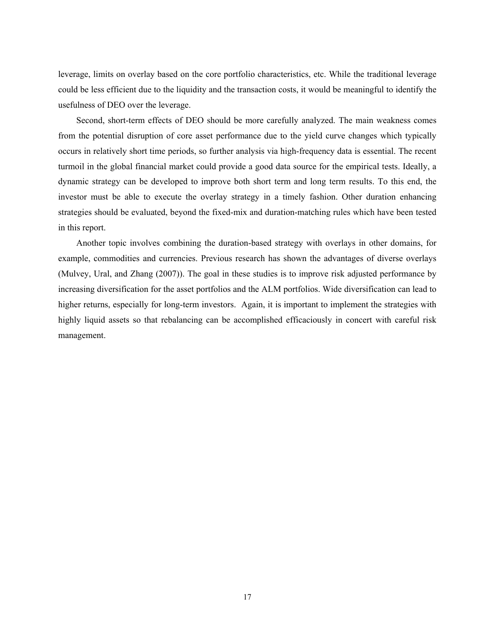leverage, limits on overlay based on the core portfolio characteristics, etc. While the traditional leverage could be less efficient due to the liquidity and the transaction costs, it would be meaningful to identify the usefulness of DEO over the leverage.

Second, short-term effects of DEO should be more carefully analyzed. The main weakness comes from the potential disruption of core asset performance due to the yield curve changes which typically occurs in relatively short time periods, so further analysis via high-frequency data is essential. The recent turmoil in the global financial market could provide a good data source for the empirical tests. Ideally, a dynamic strategy can be developed to improve both short term and long term results. To this end, the investor must be able to execute the overlay strategy in a timely fashion. Other duration enhancing strategies should be evaluated, beyond the fixed-mix and duration-matching rules which have been tested in this report.

Another topic involves combining the duration-based strategy with overlays in other domains, for example, commodities and currencies. Previous research has shown the advantages of diverse overlays (Mulvey, Ural, and Zhang (2007)). The goal in these studies is to improve risk adjusted performance by increasing diversification for the asset portfolios and the ALM portfolios. Wide diversification can lead to higher returns, especially for long-term investors. Again, it is important to implement the strategies with highly liquid assets so that rebalancing can be accomplished efficaciously in concert with careful risk management.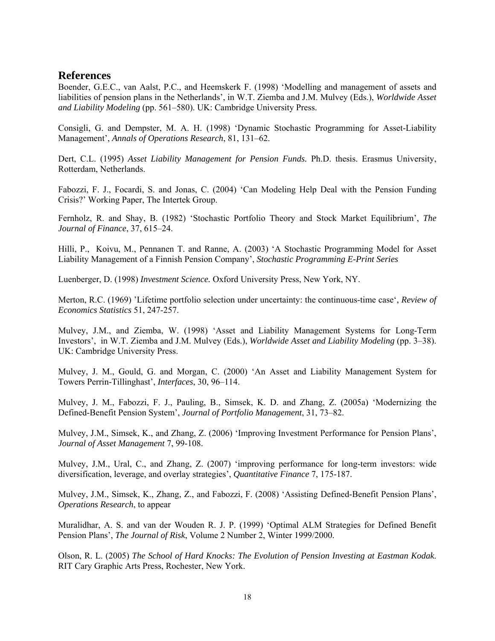### **References**

Boender, G.E.C., van Aalst, P.C., and Heemskerk F. (1998) 'Modelling and management of assets and liabilities of pension plans in the Netherlands', in W.T. Ziemba and J.M. Mulvey (Eds.), *Worldwide Asset and Liability Modeling* (pp. 561–580). UK: Cambridge University Press.

Consigli, G. and Dempster, M. A. H. (1998) 'Dynamic Stochastic Programming for Asset-Liability Management', *Annals of Operations Research*, 81, 131–62.

Dert, C.L. (1995) *Asset Liability Management for Pension Funds.* Ph.D. thesis. Erasmus University, Rotterdam, Netherlands.

Fabozzi, F. J., Focardi, S. and Jonas, C. (2004) 'Can Modeling Help Deal with the Pension Funding Crisis?' Working Paper, The Intertek Group.

Fernholz, R. and Shay, B. (1982) 'Stochastic Portfolio Theory and Stock Market Equilibrium', *The Journal of Finance*, 37, 615–24.

Hilli, P., Koivu, M., Pennanen T. and Ranne, A. (2003) 'A Stochastic Programming Model for Asset Liability Management of a Finnish Pension Company', *Stochastic Programming E-Print Series*

Luenberger, D. (1998) *Investment Science.* Oxford University Press, New York, NY.

Merton, R.C. (1969) 'Lifetime portfolio selection under uncertainty: the continuous-time case', *Review of Economics Statistics* 51, 247-257.

Mulvey, J.M., and Ziemba, W. (1998) 'Asset and Liability Management Systems for Long-Term Investors', in W.T. Ziemba and J.M. Mulvey (Eds.), *Worldwide Asset and Liability Modeling* (pp. 3–38). UK: Cambridge University Press.

Mulvey, J. M., Gould, G. and Morgan, C. (2000) 'An Asset and Liability Management System for Towers Perrin-Tillinghast', *Interfaces*, 30, 96–114.

Mulvey, J. M., Fabozzi, F. J., Pauling, B., Simsek, K. D. and Zhang, Z. (2005a) 'Modernizing the Defined-Benefit Pension System', *Journal of Portfolio Management*, 31, 73–82.

Mulvey, J.M., Simsek, K., and Zhang, Z. (2006) 'Improving Investment Performance for Pension Plans', *Journal of Asset Management* 7, 99-108.

Mulvey, J.M., Ural, C., and Zhang, Z. (2007) 'improving performance for long-term investors: wide diversification, leverage, and overlay strategies', *Quantitative Finance* 7, 175-187.

Mulvey, J.M., Simsek, K., Zhang, Z., and Fabozzi, F. (2008) 'Assisting Defined-Benefit Pension Plans', *Operations Research*, to appear

Muralidhar, A. S. and van der Wouden R. J. P. (1999) 'Optimal ALM Strategies for Defined Benefit Pension Plans', *The Journal of Risk*, Volume 2 Number 2, Winter 1999/2000.

Olson, R. L. (2005) *The School of Hard Knocks: The Evolution of Pension Investing at Eastman Kodak*. RIT Cary Graphic Arts Press, Rochester, New York.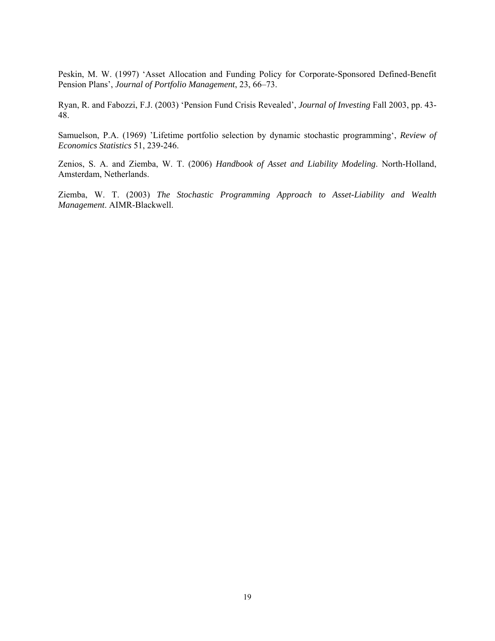Peskin, M. W. (1997) 'Asset Allocation and Funding Policy for Corporate-Sponsored Defined-Benefit Pension Plans', *Journal of Portfolio Management*, 23, 66–73.

Ryan, R. and Fabozzi, F.J. (2003) 'Pension Fund Crisis Revealed', *Journal of Investing* Fall 2003, pp. 43- 48.

Samuelson, P.A. (1969) 'Lifetime portfolio selection by dynamic stochastic programming', *Review of Economics Statistics* 51, 239-246.

Zenios, S. A. and Ziemba, W. T. (2006) *Handbook of Asset and Liability Modeling*. North-Holland, Amsterdam, Netherlands.

Ziemba, W. T. (2003) *The Stochastic Programming Approach to Asset-Liability and Wealth Management*. AIMR-Blackwell.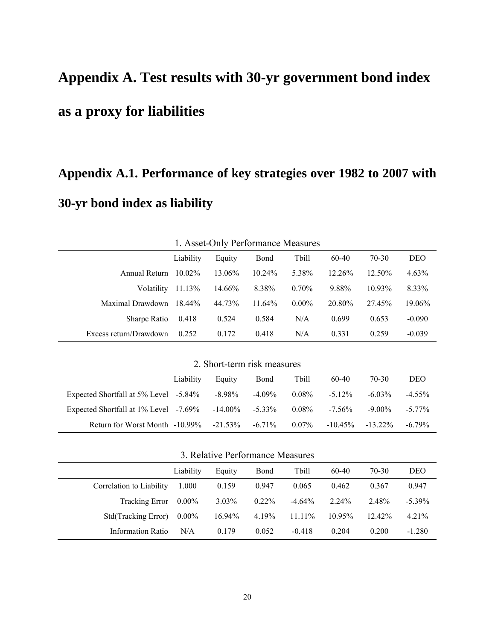# **Appendix A. Test results with 30-yr government bond index as a proxy for liabilities**

# **Appendix A.1. Performance of key strategies over 1982 to 2007 with 30-yr bond index as liability**

|                                                        | 1. Asset-Only Ferrormance Measures |        |           |          |           |           |          |  |  |  |  |  |  |  |
|--------------------------------------------------------|------------------------------------|--------|-----------|----------|-----------|-----------|----------|--|--|--|--|--|--|--|
| Liability<br>Tbill<br>70-30<br>60-40<br>Bond<br>Equity |                                    |        |           |          |           |           |          |  |  |  |  |  |  |  |
| Annual Return                                          | $10.02\%$                          | 13.06% | $10.24\%$ | 5.38%    | $12.26\%$ | $12.50\%$ | $4.63\%$ |  |  |  |  |  |  |  |
| Volatility                                             | 11.13%                             | 14.66% | 8.38%     | $0.70\%$ | 9.88%     | 1093%     | 8.33%    |  |  |  |  |  |  |  |
| Maximal Drawdown                                       | 18.44%                             | 44.73% | $11.64\%$ | $0.00\%$ | 20.80%    | 27.45%    | 19.06%   |  |  |  |  |  |  |  |
| Sharpe Ratio                                           | 0.418                              | 0.524  | 0.584     | N/A      | 0.699     | 0.653     | $-0.090$ |  |  |  |  |  |  |  |
| Excess return/Drawdown                                 | 0.252                              | 0.172  | 0.418     | N/A      | 0.331     | 0.259     | $-0.039$ |  |  |  |  |  |  |  |

1. Asset-Only Performance Measures

2. Short-term risk measures

|                                                                  | Liability | Equity | Bond   | Tbill    | 60-40     | 70-30               | <b>DEO</b> |
|------------------------------------------------------------------|-----------|--------|--------|----------|-----------|---------------------|------------|
| Expected Shortfall at 5% Level -5.84%                            |           | -8.98% | -4.09% | $0.08\%$ | $-5.12\%$ | $-6.03\%$           | $-4.55\%$  |
| Expected Shortfall at $1\%$ Level $-7.69\%$ $-14.00\%$ $-5.33\%$ |           |        |        | $0.08\%$ | $-7.56\%$ | $-9.00\%$           | $-577\%$   |
| Return for Worst Month $-10.99\%$ $-21.53\%$ $-6.71\%$           |           |        |        | $0.07\%$ |           | $-10.45\% -13.22\%$ | $-679%$    |

3. Relative Performance Measures

|                          | Liability | Equity    | Bond     | Tbill     | 60-40     | 70-30     | DEO       |  |
|--------------------------|-----------|-----------|----------|-----------|-----------|-----------|-----------|--|
| Correlation to Liability | 1.000     | 0.159     | 0.947    | 0.065     | 0.462     | 0.367     | 0.947     |  |
| <b>Tracking Error</b>    | $0.00\%$  | $3.03\%$  | $0.22\%$ | $-4.64\%$ | $2.24\%$  | 2.48%     | $-5.39\%$ |  |
| Std(Tracking Error)      | $0.00\%$  | $16.94\%$ | 4.19%    | $11.11\%$ | $10.95\%$ | $12.42\%$ | 4.21%     |  |
| <b>Information Ratio</b> | N/A       | 0.179     | 0.052    | $-0.418$  | 0.204     | 0.200     | $-1.280$  |  |
|                          |           |           |          |           |           |           |           |  |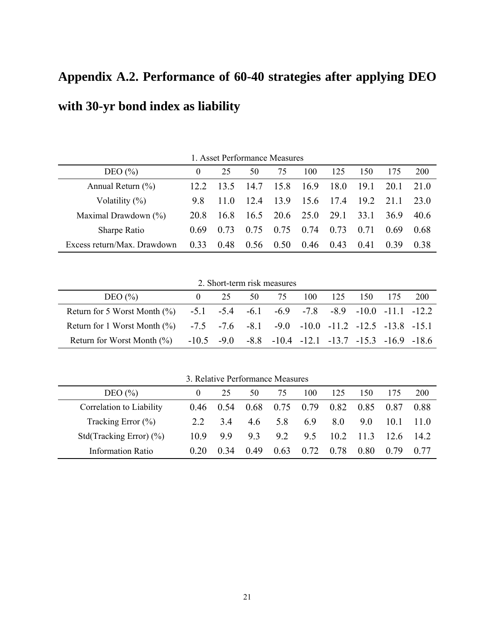## **Appendix A.2. Performance of 60-40 strategies after applying DEO with 30-yr bond index as liability**

1. Asset Performance Measures DEO (%) 0 25 50 75 100 125 150 175 200 Annual Return (%) 12.2 13.5 14.7 15.8 16.9 18.0 19.1 20.1 21.0 Volatility (%) 9.8 11.0 12.4 13.9 15.6 17.4 19.2 21.1 23.0 Maximal Drawdown (%) 20.8 16.8 16.5 20.6 25.0 29.1 33.1 36.9 40.6 Sharpe Ratio 0.69 0.73 0.75 0.75 0.74 0.73 0.71 0.69 0.68 Excess return/Max. Drawdown 0.33 0.48 0.56 0.50 0.46 0.43 0.41 0.39 0.38

2. Short-term risk measures

| DEO $(\% )$                                                                    | 25 | .50 | 75                                                                    | 100 125 | 150 175 | <b>200</b> |
|--------------------------------------------------------------------------------|----|-----|-----------------------------------------------------------------------|---------|---------|------------|
| Return for 5 Worst Month (%) -5.1 -5.4 -6.1 -6.9 -7.8 -8.9 -10.0 -11.1 -12.2   |    |     |                                                                       |         |         |            |
| Return for 1 Worst Month (%) -7.5 -7.6 -8.1 -9.0 -10.0 -11.2 -12.5 -13.8 -15.1 |    |     |                                                                       |         |         |            |
| Return for Worst Month $(\%)$                                                  |    |     | $-10.5$ $-9.0$ $-8.8$ $-10.4$ $-12.1$ $-13.7$ $-15.3$ $-16.9$ $-18.6$ |         |         |            |

3. Relative Performance Measures

| DEO $(\% )$                 | $\theta$ | 25             | 50   | 75   | 100  | 125  | 150    |           | <b>200</b> |
|-----------------------------|----------|----------------|------|------|------|------|--------|-----------|------------|
| Correlation to Liability    |          | $(146 \t 0.54$ | 0.68 | 0.75 | 0.79 | 0.82 | 0.85   | 0.87      | 0.88       |
| Tracking Error $(\% )$      | 22       | 34             | 4.6  | 5.8  | 69   | 80   | 90     | 101       | 110        |
| Std(Tracking Error) $(\% )$ | 10.9     | 99             | 93   | 92   | 9.5  | 10.2 | $-113$ | $126$ 142 |            |
| <b>Information Ratio</b>    | 0.20     | 0.34           | 0.49 | 0.63 | 0.72 | 0.78 | 0.80   | 0.79      | (177)      |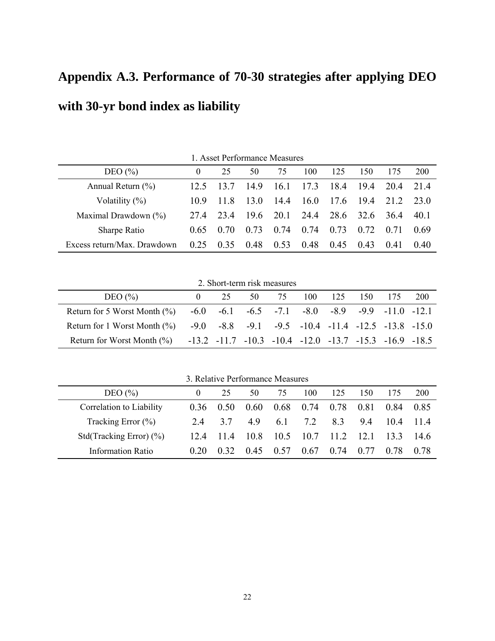## **Appendix A.3. Performance of 70-30 strategies after applying DEO with 30-yr bond index as liability**

1. Asset Performance Measures DEO (%) 0 25 50 75 100 125 150 175 200 Annual Return (%) 12.5 13.7 14.9 16.1 17.3 18.4 19.4 20.4 21.4 Volatility (%) 10.9 11.8 13.0 14.4 16.0 17.6 19.4 21.2 23.0 Maximal Drawdown (%) 27.4 23.4 19.6 20.1 24.4 28.6 32.6 36.4 40.1 Sharpe Ratio 0.65 0.70 0.73 0.74 0.74 0.73 0.72 0.71 0.69 Excess return/Max. Drawdown 0.25 0.35 0.48 0.53 0.48 0.45 0.43 0.41 0.40

2. Short-term risk measures

| DEO $(\% )$                                                                    |                                                                         | 25 | 50 | 75 | 100 125 | 150 | 175                                                              | <b>200</b> |
|--------------------------------------------------------------------------------|-------------------------------------------------------------------------|----|----|----|---------|-----|------------------------------------------------------------------|------------|
| Return for 5 Worst Month $\frac{6}{6}$                                         |                                                                         |    |    |    |         |     | $-6.0$ $-6.1$ $-6.5$ $-7.1$ $-8.0$ $-8.9$ $-9.9$ $-11.0$ $-12.1$ |            |
| Return for 1 Worst Month (%) -9.0 -8.8 -9.1 -9.5 -10.4 -11.4 -12.5 -13.8 -15.0 |                                                                         |    |    |    |         |     |                                                                  |            |
| Return for Worst Month $(\%)$                                                  | $-13.2$ $-11.7$ $-10.3$ $-10.4$ $-12.0$ $-13.7$ $-15.3$ $-16.9$ $-18.5$ |    |    |    |         |     |                                                                  |            |

3. Relative Performance Measures

| DEO $(\% )$                 | $\theta$ | 25   | 50   | 75   | 100               | 125  | 150     |      | <b>200</b>      |
|-----------------------------|----------|------|------|------|-------------------|------|---------|------|-----------------|
| Correlation to Liability    | 0.36     | 0.50 | 0.60 | 0.68 | $0.74$ 0.78       |      | 0.81    | 0.84 | 0.85            |
| Tracking Error $(\% )$      | 24       | 37   | 49   | 6.1  | 7.2               | 83   | 94      | 104  | 114             |
| Std(Tracking Error) $(\% )$ | 124      | 11.4 | 10.8 |      | $10.5 \quad 10.7$ | 11.2 | $-12.1$ | 13.3 | 14 <sub>6</sub> |
| <b>Information Ratio</b>    | 0.20     | 0.32 | 0.45 | 0.57 | 0.67              | 0.74 | 0.77    | 0.78 | 0.78            |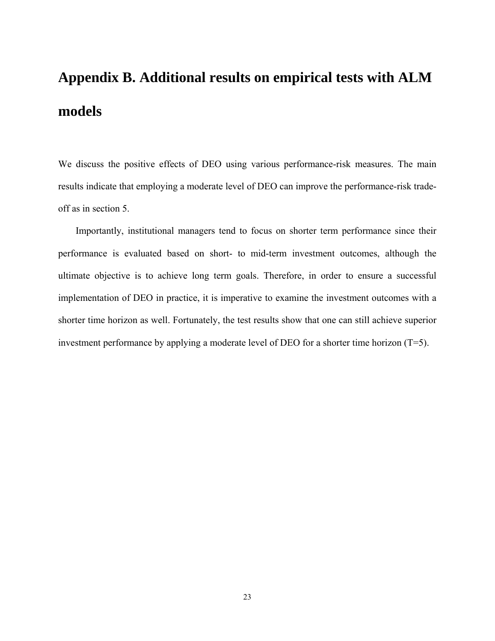# **Appendix B. Additional results on empirical tests with ALM models**

We discuss the positive effects of DEO using various performance-risk measures. The main results indicate that employing a moderate level of DEO can improve the performance-risk tradeoff as in section 5.

Importantly, institutional managers tend to focus on shorter term performance since their performance is evaluated based on short- to mid-term investment outcomes, although the ultimate objective is to achieve long term goals. Therefore, in order to ensure a successful implementation of DEO in practice, it is imperative to examine the investment outcomes with a shorter time horizon as well. Fortunately, the test results show that one can still achieve superior investment performance by applying a moderate level of DEO for a shorter time horizon (T=5).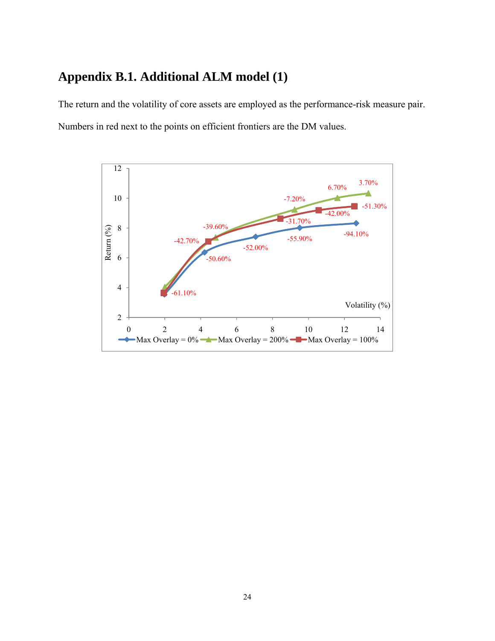## **Appendix B.1. Additional ALM model (1)**

The return and the volatility of core assets are employed as the performance-risk measure pair. Numbers in red next to the points on efficient frontiers are the DM values.

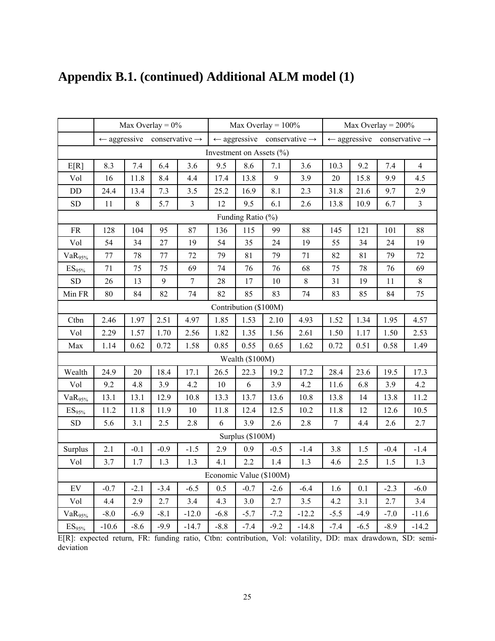|                            |         |        | Max Overlay = $0\%$                                |                |                              |                       | Max Overlay = $100\%$                              |         |                         | Max Overlay = $200\%$ |        |                                                    |
|----------------------------|---------|--------|----------------------------------------------------|----------------|------------------------------|-----------------------|----------------------------------------------------|---------|-------------------------|-----------------------|--------|----------------------------------------------------|
|                            |         |        | $\leftarrow$ aggressive conservative $\rightarrow$ |                |                              |                       | $\leftarrow$ aggressive conservative $\rightarrow$ |         |                         |                       |        | $\leftarrow$ aggressive conservative $\rightarrow$ |
|                            |         |        |                                                    |                | Investment on Assets $(\% )$ |                       |                                                    |         |                         |                       |        |                                                    |
| E[R]                       | 8.3     | 7.4    | 6.4                                                | 3.6            | 9.5                          | 8.6                   | 7.1                                                | 3.6     | 10.3                    | 9.2                   | 7.4    | $\overline{4}$                                     |
| Vol                        | 16      | 11.8   | 8.4                                                | 4.4            | 17.4                         | 13.8                  | 9                                                  | 3.9     | $20\,$                  | 15.8                  | 9.9    | 4.5                                                |
| DD                         | 24.4    | 13.4   | 7.3                                                | 3.5            | 25.2                         | 16.9                  | 8.1                                                | 2.3     | 31.8                    | 21.6                  | 9.7    | 2.9                                                |
| <b>SD</b>                  | 11      | $8\,$  | 5.7                                                | $\overline{3}$ | 12                           | 9.5                   | 6.1                                                | 2.6     | 13.8                    | 10.9                  | 6.7    | $\overline{3}$                                     |
|                            |         |        |                                                    |                |                              | Funding Ratio (%)     |                                                    |         |                         |                       |        |                                                    |
| <b>FR</b>                  | 128     | 104    | 95                                                 | 87             | 136                          | 115                   | 99                                                 | 88      | 145                     | 121                   | 101    | 88                                                 |
| Vol                        | 54      | 34     | 27                                                 | 19             | 54                           | 35                    | 24                                                 | 19      | 55                      | 34                    | 24     | 19                                                 |
| VaR <sub>95%</sub>         | 77      | 78     | 77                                                 | 72             | 79                           | 81                    | 79                                                 | 71      | 82                      | 81                    | 79     | 72                                                 |
| $\mathrm{ES}_{95\%}$       | 71      | 75     | 75                                                 | 69             | 74                           | 76                    | 76                                                 | 68      | 75                      | 78                    | 76     | 69                                                 |
| <b>SD</b>                  | 26      | 13     | 9                                                  | $\overline{7}$ | 28                           | 17                    | 10                                                 | $\,8\,$ | 31                      | 19                    | 11     | $8\,$                                              |
| Min FR                     | $80\,$  | 84     | 82                                                 | 74             | 82                           | 85                    | 83                                                 | 74      | 83                      | 85                    | 84     | 75                                                 |
|                            |         |        |                                                    |                |                              | Contribution (\$100M) |                                                    |         |                         |                       |        |                                                    |
| Ctbn                       | 2.46    | 1.97   | 2.51                                               | 4.97           | 1.85                         | 1.53                  | 2.10                                               | 4.93    | 1.52                    | 1.34                  | 1.95   | 4.57                                               |
| Vol                        | 2.29    | 1.57   | 1.70                                               | 2.56           | 1.82                         | 1.35                  | 1.56                                               | 2.61    | 1.50                    | 1.17                  | 1.50   | 2.53                                               |
| Max                        | 1.14    | 0.62   | 0.72                                               | 1.58           | 0.85                         | 0.55                  | 0.65                                               | 1.62    | 0.72                    | 0.51                  | 0.58   | 1.49                                               |
|                            |         |        |                                                    |                |                              | Wealth (\$100M)       |                                                    |         |                         |                       |        |                                                    |
| Wealth                     | 24.9    | 20     | 18.4                                               | 17.1           | 26.5                         | 22.3                  | 19.2                                               | 17.2    | 28.4                    | 23.6                  | 19.5   | 17.3                                               |
| Vol                        | 9.2     | 4.8    | 3.9                                                | 4.2            | $10\,$                       | 6                     | 3.9                                                | 4.2     | 11.6                    | 6.8                   | 3.9    | 4.2                                                |
| VaR <sub>95%</sub>         | 13.1    | 13.1   | 12.9                                               | 10.8           | 13.3                         | 13.7                  | 13.6                                               | 10.8    | 13.8                    | 14                    | 13.8   | 11.2                                               |
| $\mathrm{ES}_{95\%}$       | 11.2    | 11.8   | 11.9                                               | 10             | 11.8                         | 12.4                  | 12.5                                               | 10.2    | 11.8                    | 12                    | 12.6   | 10.5                                               |
| <b>SD</b>                  | 5.6     | 3.1    | 2.5                                                | $2.8\,$        | 6                            | 3.9                   | 2.6                                                | 2.8     | $\overline{7}$          | 4.4                   | 2.6    | 2.7                                                |
|                            |         |        |                                                    |                |                              | Surplus (\$100M)      |                                                    |         |                         |                       |        |                                                    |
| Surplus                    | 2.1     | $-0.1$ | $-0.9$                                             | $-1.5$         | 2.9                          | 0.9                   | $-0.5$                                             | $-1.4$  | 3.8                     | 1.5                   | $-0.4$ | $-1.4$                                             |
| Vol                        | 3.7     | 1.7    | 1.3                                                | 1.3            | 4.1                          | 2.2                   | 1.4                                                | 1.3     | 4.6                     | 2.5                   | 1.5    | 1.3                                                |
|                            |         |        |                                                    |                | Economic Value (\$100M)      |                       |                                                    |         |                         |                       |        |                                                    |
| $\mathop{\rm EV}\nolimits$ | $-0.7$  | $-2.1$ | $-3.4$                                             | $-6.5$         | 0.5                          | $-0.7$                | $-2.6$                                             | $-6.4$  | 1.6                     | 0.1                   | $-2.3$ | $-6.0$                                             |
| Vol                        | 4.4     | 2.9    | 2.7                                                | 3.4            | 4.3                          | 3.0                   | 2.7                                                | $3.5$   | 4.2                     | 3.1                   | 2.7    | 3.4                                                |
| $VaR_{95\%}$               | $-8.0$  | $-6.9$ | $-8.1$                                             | $-12.0$        | $-6.8$                       | $-5.7$                | $-7.2$                                             | $-12.2$ | $-5.5$                  | $-4.9$                | $-7.0$ | $-11.6$                                            |
| $\mathrm{ES}_{95\%}$       | $-10.6$ | $-8.6$ | $-9.9$                                             | $-14.7$        | $-8.8$                       | $-7.4$<br>$\cdot$     | $-9.2$<br>$T$ $T$ $T$ $T$                          | $-14.8$ | $-7.4$<br><sub>DD</sub> | $-6.5$                | $-8.9$ | $-14.2$                                            |

## **Appendix B.1. (continued) Additional ALM model (1)**

E[R]: expected return, FR: funding ratio, Ctbn: contribution, Vol: volatility, DD: max drawdown, SD: semideviation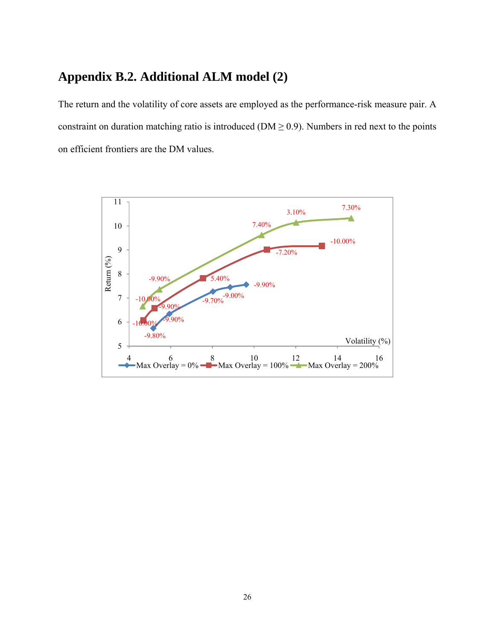## **Appendix B.2. Additional ALM model (2)**

The return and the volatility of core assets are employed as the performance-risk measure pair. A constraint on duration matching ratio is introduced ( $DM \ge 0.9$ ). Numbers in red next to the points on efficient frontiers are the DM values.

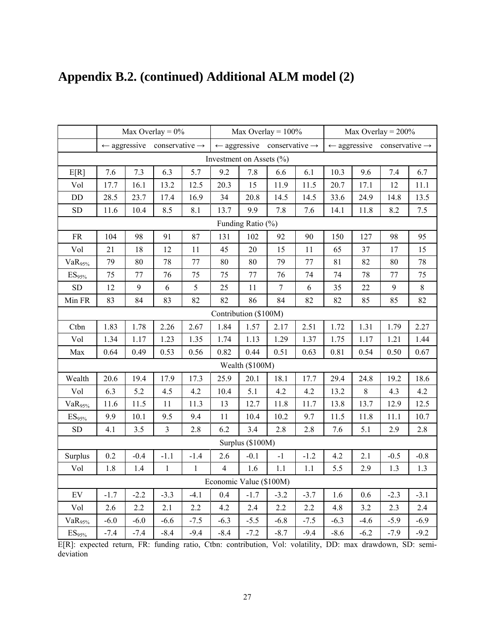|                      |        |        | Max Overlay = $0\%$                                |              |                          |                   | Max Overlay = $100\%$                              |            |        |        | Max Overlay = $200\%$                              |         |
|----------------------|--------|--------|----------------------------------------------------|--------------|--------------------------|-------------------|----------------------------------------------------|------------|--------|--------|----------------------------------------------------|---------|
|                      |        |        | $\leftarrow$ aggressive conservative $\rightarrow$ |              |                          |                   | $\leftarrow$ aggressive conservative $\rightarrow$ |            |        |        | $\leftarrow$ aggressive conservative $\rightarrow$ |         |
|                      |        |        |                                                    |              | Investment on Assets (%) |                   |                                                    |            |        |        |                                                    |         |
| E[R]                 | 7.6    | 7.3    | 6.3                                                | 5.7          | 9.2                      | 7.8               | 6.6                                                | 6.1        | 10.3   | 9.6    | 7.4                                                | 6.7     |
| Vol                  | 17.7   | 16.1   | 13.2                                               | 12.5         | 20.3                     | 15                | 11.9                                               | 11.5       | 20.7   | 17.1   | 12                                                 | 11.1    |
| $\rm DD$             | 28.5   | 23.7   | 17.4                                               | 16.9         | 34                       | 20.8              | 14.5                                               | 14.5       | 33.6   | 24.9   | 14.8                                               | 13.5    |
| <b>SD</b>            | 11.6   | 10.4   | 8.5                                                | 8.1          | 13.7                     | 9.9               | 7.8                                                | $7.6\,$    | 14.1   | 11.8   | 8.2                                                | $7.5\,$ |
|                      |        |        |                                                    |              |                          | Funding Ratio (%) |                                                    |            |        |        |                                                    |         |
| ${\rm FR}$           | 104    | 98     | 91                                                 | 87           | 131                      | 102               | 92                                                 | 90         | 150    | 127    | 98                                                 | 95      |
| Vol                  | 21     | 18     | 12                                                 | 11           | 45                       | 20                | 15                                                 | 11         | 65     | 37     | 17                                                 | 15      |
| $VaR_{95\%}$         | 79     | 80     | 78                                                 | 77           | 80                       | 80                | 79                                                 | $77 \,$    | 81     | 82     | 80                                                 | 78      |
| $\mathrm{ES}_{95\%}$ | 75     | 77     | 76                                                 | 75           | 75                       | 77                | 76                                                 | 74         | 74     | 78     | 77                                                 | 75      |
| SD                   | 12     | 9      | 6                                                  | 5            | 25                       | 11                | $\boldsymbol{7}$                                   | $\epsilon$ | 35     | 22     | 9                                                  | $8\,$   |
| Min FR               | 83     | 84     | 83                                                 | 82           | 82                       | 86                | 84                                                 | 82         | 82     | 85     | 85                                                 | 82      |
|                      |        |        |                                                    |              | Contribution (\$100M)    |                   |                                                    |            |        |        |                                                    |         |
| Ctbn                 | 1.83   | 1.78   | 2.26                                               | 2.67         | 1.84                     | 1.57              | 2.17                                               | 2.51       | 1.72   | 1.31   | 1.79                                               | 2.27    |
| Vol                  | 1.34   | 1.17   | 1.23                                               | 1.35         | 1.74                     | 1.13              | 1.29                                               | 1.37       | 1.75   | 1.17   | 1.21                                               | 1.44    |
| Max                  | 0.64   | 0.49   | 0.53                                               | 0.56         | 0.82                     | 0.44              | 0.51                                               | 0.63       | 0.81   | 0.54   | 0.50                                               | 0.67    |
|                      |        |        |                                                    |              |                          | Wealth (\$100M)   |                                                    |            |        |        |                                                    |         |
| Wealth               | 20.6   | 19.4   | 17.9                                               | 17.3         | 25.9                     | 20.1              | 18.1                                               | 17.7       | 29.4   | 24.8   | 19.2                                               | 18.6    |
| Vol                  | 6.3    | 5.2    | 4.5                                                | 4.2          | 10.4                     | 5.1               | 4.2                                                | 4.2        | 13.2   | $8\,$  | 4.3                                                | 4.2     |
| $VaR_{95\%}$         | 11.6   | 11.5   | 11                                                 | 11.3         | 13                       | 12.7              | 11.8                                               | 11.7       | 13.8   | 13.7   | 12.9                                               | 12.5    |
| $ES_{95\%}$          | 9.9    | 10.1   | 9.5                                                | 9.4          | 11                       | 10.4              | 10.2                                               | 9.7        | 11.5   | 11.8   | 11.1                                               | 10.7    |
| ${\rm SD}$           | 4.1    | 3.5    | $\overline{3}$                                     | 2.8          | 6.2                      | 3.4               | 2.8                                                | 2.8        | 7.6    | 5.1    | 2.9                                                | 2.8     |
|                      |        |        |                                                    |              |                          | Surplus (\$100M)  |                                                    |            |        |        |                                                    |         |
| Surplus              | 0.2    | $-0.4$ | $-1.1$                                             | $-1.4$       | 2.6                      | $-0.1$            | $-1$                                               | $-1.2$     | 4.2    | 2.1    | $-0.5$                                             | $-0.8$  |
| Vol                  | 1.8    | 1.4    | $\mathbf{1}$                                       | $\mathbf{1}$ | $\overline{4}$           | 1.6               | 1.1                                                | 1.1        | 5.5    | 2.9    | 1.3                                                | 1.3     |
|                      |        |        |                                                    |              | Economic Value (\$100M)  |                   |                                                    |            |        |        |                                                    |         |
| EV                   | $-1.7$ | $-2.2$ | $-3.3$                                             | $-4.1$       | 0.4                      | $-1.7$            | $-3.2$                                             | $-3.7$     | 1.6    | 0.6    | $-2.3$                                             | $-3.1$  |
| Vol                  | 2.6    | 2.2    | 2.1                                                | 2.2          | 4.2                      | 2.4               | 2.2                                                | 2.2        | 4.8    | 3.2    | 2.3                                                | 2.4     |
| $VaR_{95\%}$         | $-6.0$ | $-6.0$ | $-6.6$                                             | $-7.5$       | $-6.3$                   | $-5.5$            | $-6.8$                                             | $-7.5$     | $-6.3$ | $-4.6$ | $-5.9$                                             | $-6.9$  |
| $\mathrm{ES}_{95\%}$ | $-7.4$ | $-7.4$ | $-8.4$                                             | $-9.4$       | $-8.4$                   | $-7.2$            | $-8.7$                                             | $-9.4$     | $-8.6$ | $-6.2$ | $-7.9$                                             | $-9.2$  |

## **Appendix B.2. (continued) Additional ALM model (2)**

E[R]: expected return, FR: funding ratio, Ctbn: contribution, Vol: volatility, DD: max drawdown, SD: semideviation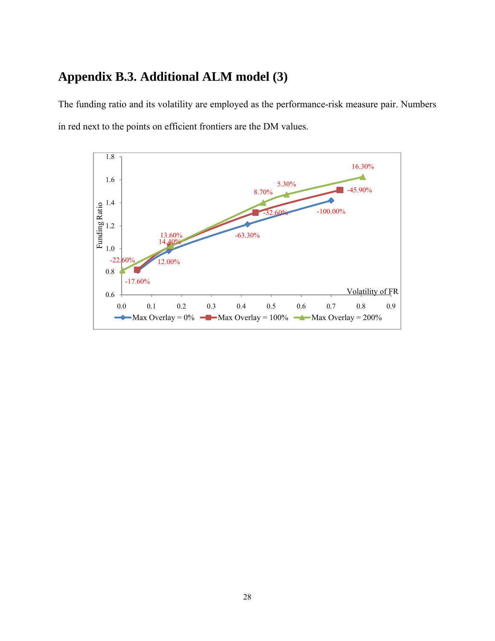## **Appendix B.3. Additional ALM model (3)**

The funding ratio and its volatility are employed as the performance-risk measure pair. Numbers in red next to the points on efficient frontiers are the DM values.

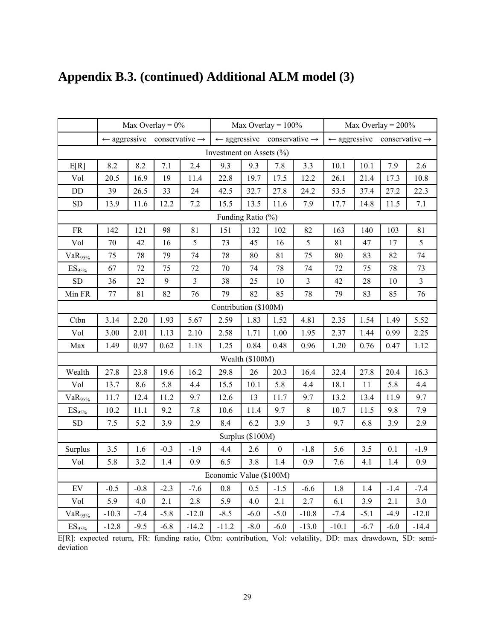|                            |         |                        | Max Overlay = $0\%$                                |                |                              | Max Overlay = $100\%$                              |                           |                      |                         |        | Max Overlay = $200\%$      |                |
|----------------------------|---------|------------------------|----------------------------------------------------|----------------|------------------------------|----------------------------------------------------|---------------------------|----------------------|-------------------------|--------|----------------------------|----------------|
|                            |         |                        | $\leftarrow$ aggressive conservative $\rightarrow$ |                |                              | $\leftarrow$ aggressive conservative $\rightarrow$ |                           |                      | $\leftarrow$ aggressive |        | conservative $\rightarrow$ |                |
|                            |         |                        |                                                    |                | Investment on Assets $(\% )$ |                                                    |                           |                      |                         |        |                            |                |
| E[R]                       | 8.2     | 8.2                    | 7.1                                                | 2.4            | 9.3                          | 9.3                                                | 7.8                       | 3.3                  | 10.1                    | 10.1   | 7.9                        | 2.6            |
| Vol                        | 20.5    | 16.9                   | 19                                                 | 11.4           | 22.8                         | 19.7                                               | 17.5                      | 12.2                 | 26.1                    | 21.4   | 17.3                       | 10.8           |
| $\rm DD$                   | 39      | 26.5                   | 33                                                 | 24             | 42.5                         | 32.7                                               | 27.8                      | 24.2                 | 53.5                    | 37.4   | 27.2                       | 22.3           |
| ${\rm SD}$                 | 13.9    | 11.6                   | 12.2                                               | $7.2\,$        | 15.5                         | 13.5                                               | 11.6                      | 7.9                  | 17.7                    | 14.8   | 11.5                       | 7.1            |
|                            |         |                        |                                                    |                |                              | Funding Ratio (%)                                  |                           |                      |                         |        |                            |                |
| ${\rm FR}$                 | 142     | 121                    | 98                                                 | 81             | 151                          | 132                                                | 102                       | 82                   | 163                     | 140    | 103                        | 81             |
| Vol                        | 70      | 42                     | 16                                                 | 5              | 73                           | 45                                                 | 16                        | 5                    | 81                      | 47     | 17                         | 5              |
| VaR <sub>95%</sub>         | 75      | 78                     | 79                                                 | 74             | 78                           | 80                                                 | 81                        | 75                   | 80                      | 83     | 82                         | 74             |
| $\mathrm{ES}_{95\%}$       | 67      | 72                     | 75                                                 | 72             | 70                           | 74                                                 | 78                        | 74                   | 72                      | 75     | 78                         | 73             |
| ${\rm SD}$                 | 36      | 22                     | $\mathbf{9}$                                       | $\mathfrak{Z}$ | 38                           | 25                                                 | 10                        | $\mathfrak{Z}$       | 42                      | 28     | 10                         | $\mathfrak{Z}$ |
| Min FR                     | 77      | 81                     | 82                                                 | 76             | 79                           | 82                                                 | 85                        | 78                   | 79                      | 83     | 85                         | 76             |
|                            |         |                        |                                                    |                | Contribution (\$100M)        |                                                    |                           |                      |                         |        |                            |                |
| Ctbn                       | 3.14    | 2.20                   | 1.93                                               | 5.67           | 2.59                         | 1.83                                               | 1.52                      | 4.81                 | 2.35                    | 1.54   | 1.49                       | 5.52           |
| Vol                        | 3.00    | 2.01                   | 1.13                                               | 2.10           | 2.58                         | 1.71                                               | 1.00                      | 1.95                 | 2.37                    | 1.44   | 0.99                       | 2.25           |
| Max                        | 1.49    | 0.97                   | 0.62                                               | 1.18           | 1.25                         | 0.84                                               | 0.48                      | 0.96                 | 1.20                    | 0.76   | 0.47                       | 1.12           |
|                            |         |                        |                                                    |                |                              | Wealth (\$100M)                                    |                           |                      |                         |        |                            |                |
| Wealth                     | 27.8    | 23.8                   | 19.6                                               | 16.2           | 29.8                         | 26                                                 | 20.3                      | 16.4                 | 32.4                    | 27.8   | 20.4                       | 16.3           |
| Vol                        | 13.7    | 8.6                    | 5.8                                                | 4.4            | 15.5                         | 10.1                                               | 5.8                       | 4.4                  | 18.1                    | 11     | 5.8                        | 4.4            |
| VaR <sub>95%</sub>         | 11.7    | 12.4                   | 11.2                                               | 9.7            | 12.6                         | 13                                                 | 11.7                      | 9.7                  | 13.2                    | 13.4   | 11.9                       | 9.7            |
| ES <sub>95%</sub>          | 10.2    | 11.1                   | 9.2                                                | 7.8            | 10.6                         | 11.4                                               | 9.7                       | $\,8\,$              | 10.7                    | 11.5   | 9.8                        | 7.9            |
| SD                         | 7.5     | 5.2                    | 3.9                                                | 2.9            | 8.4                          | 6.2                                                | 3.9                       | $\overline{3}$       | 9.7                     | 6.8    | 3.9                        | 2.9            |
|                            |         |                        |                                                    |                |                              | Surplus (\$100M)                                   |                           |                      |                         |        |                            |                |
| Surplus                    | 3.5     | 1.6                    | $-0.3$                                             | $-1.9$         | 4.4                          | 2.6                                                | $\boldsymbol{0}$          | $-1.8$               | 5.6                     | 3.5    | 0.1                        | $-1.9$         |
| Vol                        | 5.8     | 3.2                    | 1.4                                                | 0.9            | 6.5                          | 3.8                                                | 1.4                       | 0.9                  | 7.6                     | 4.1    | 1.4                        | 0.9            |
|                            |         |                        |                                                    |                | Economic Value (\$100M)      |                                                    |                           |                      |                         |        |                            |                |
| $\mathop{\rm EV}\nolimits$ | $-0.5$  | $-0.8$                 | $-2.3$                                             | $-7.6$         | 0.8                          | 0.5                                                | $-1.5$                    | $-6.6$               | 1.8                     | 1.4    | $-1.4$                     | $-7.4$         |
| Vol                        | 5.9     | 4.0                    | 2.1                                                | 2.8            | 5.9                          | 4.0                                                | 2.1                       | 2.7                  | 6.1                     | 3.9    | 2.1                        | 3.0            |
| $VaR_{95\%}$               | $-10.3$ | $-7.4$                 | $-5.8$                                             | $-12.0$        | $-8.5$                       | $-6.0$                                             | $-5.0$                    | $-10.8$              | $-7.4$                  | $-5.1$ | $-4.9$                     | $-12.0$        |
| ES <sub>95%</sub>          | $-12.8$ | $-9.5$<br>$\mathbf{m}$ | $-6.8$                                             | $-14.2$        | $-11.2$                      | $-8.0$                                             | $-6.0$<br>$T$ $T$ $T$ $T$ | $-13.0$<br>$1 - 111$ | $-10.1$<br>$\mathbf{D}$ | $-6.7$ | $-6.0$                     | $-14.4$        |

## **Appendix B.3. (continued) Additional ALM model (3)**

E[R]: expected return, FR: funding ratio, Ctbn: contribution, Vol: volatility, DD: max drawdown, SD: semideviation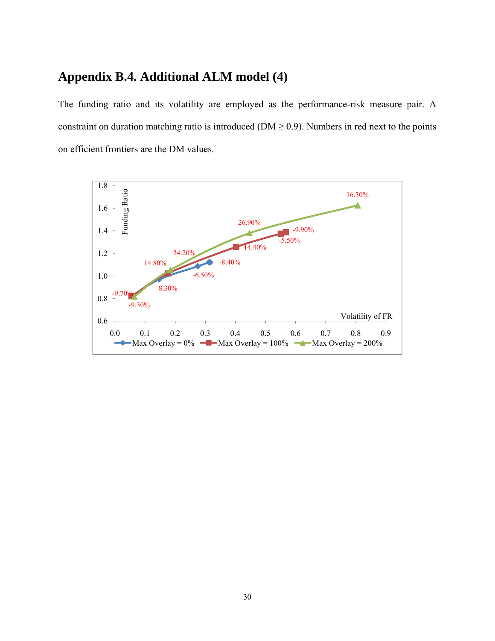### **Appendix B.4. Additional ALM model (4)**

The funding ratio and its volatility are employed as the performance-risk measure pair. A constraint on duration matching ratio is introduced ( $DM \ge 0.9$ ). Numbers in red next to the points on efficient frontiers are the DM values.

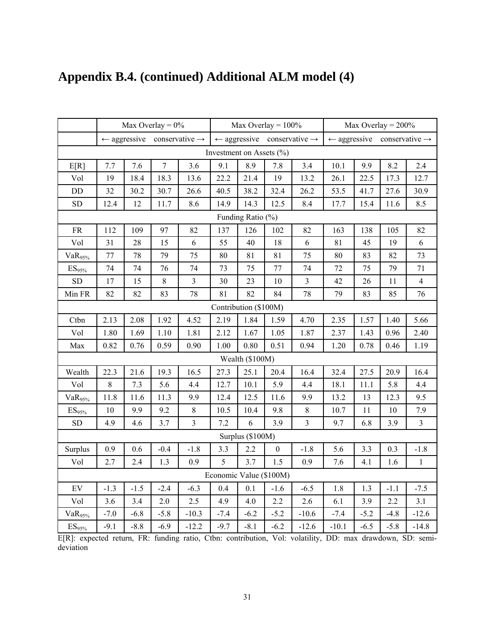|                      |        |        | Max Overlay = $0\%$                                |                |                              |                   | Max Overlay = $100\%$ |                                                    |         |        | Max Overlay = $200\%$                              |                |
|----------------------|--------|--------|----------------------------------------------------|----------------|------------------------------|-------------------|-----------------------|----------------------------------------------------|---------|--------|----------------------------------------------------|----------------|
|                      |        |        | $\leftarrow$ aggressive conservative $\rightarrow$ |                |                              |                   |                       | $\leftarrow$ aggressive conservative $\rightarrow$ |         |        | $\leftarrow$ aggressive conservative $\rightarrow$ |                |
|                      |        |        |                                                    |                | Investment on Assets $(\% )$ |                   |                       |                                                    |         |        |                                                    |                |
| E[R]                 | 7.7    | 7.6    | $\boldsymbol{7}$                                   | 3.6            | 9.1                          | 8.9               | 7.8                   | 3.4                                                | 10.1    | 9.9    | 8.2                                                | 2.4            |
| Vol                  | 19     | 18.4   | 18.3                                               | 13.6           | 22.2                         | 21.4              | 19                    | 13.2                                               | 26.1    | 22.5   | 17.3                                               | 12.7           |
| $\rm DD$             | 32     | 30.2   | 30.7                                               | 26.6           | 40.5                         | 38.2              | 32.4                  | 26.2                                               | 53.5    | 41.7   | 27.6                                               | 30.9           |
| <b>SD</b>            | 12.4   | 12     | 11.7                                               | 8.6            | 14.9                         | 14.3              | 12.5                  | 8.4                                                | 17.7    | 15.4   | 11.6                                               | 8.5            |
|                      |        |        |                                                    |                |                              | Funding Ratio (%) |                       |                                                    |         |        |                                                    |                |
| <b>FR</b>            | 112    | 109    | 97                                                 | 82             | 137                          | 126               | 102                   | 82                                                 | 163     | 138    | 105                                                | 82             |
| Vol                  | 31     | 28     | 15                                                 | 6              | 55                           | 40                | 18                    | 6                                                  | 81      | 45     | 19                                                 | 6              |
| VaR <sub>95%</sub>   | 77     | 78     | 79                                                 | 75             | 80                           | 81                | 81                    | 75                                                 | 80      | 83     | 82                                                 | 73             |
| $\mathrm{ES}_{95\%}$ | 74     | 74     | 76                                                 | 74             | 73                           | 75                | 77                    | 74                                                 | 72      | 75     | 79                                                 | 71             |
| <b>SD</b>            | $17\,$ | 15     | $\,8\,$                                            | $\overline{3}$ | 30                           | 23                | 10                    | $\overline{\mathbf{3}}$                            | 42      | 26     | 11                                                 | $\overline{4}$ |
| Min FR               | 82     | 82     | 83                                                 | 78             | 81                           | 82                | 84                    | 78                                                 | 79      | 83     | 85                                                 | 76             |
|                      |        |        |                                                    |                | Contribution (\$100M)        |                   |                       |                                                    |         |        |                                                    |                |
| Ctbn                 | 2.13   | 2.08   | 1.92                                               | 4.52           | 2.19                         | 1.84              | 1.59                  | 4.70                                               | 2.35    | 1.57   | 1.40                                               | 5.66           |
| Vol                  | 1.80   | 1.69   | 1.10                                               | 1.81           | 2.12                         | 1.67              | 1.05                  | 1.87                                               | 2.37    | 1.43   | 0.96                                               | 2.40           |
| Max                  | 0.82   | 0.76   | 0.59                                               | 0.90           | 1.00                         | 0.80              | 0.51                  | 0.94                                               | 1.20    | 0.78   | 0.46                                               | 1.19           |
|                      |        |        |                                                    |                |                              | Wealth (\$100M)   |                       |                                                    |         |        |                                                    |                |
| Wealth               | 22.3   | 21.6   | 19.3                                               | 16.5           | 27.3                         | 25.1              | 20.4                  | 16.4                                               | 32.4    | 27.5   | 20.9                                               | 16.4           |
| Vol                  | $8\,$  | 7.3    | 5.6                                                | 4.4            | 12.7                         | 10.1              | 5.9                   | 4.4                                                | 18.1    | 11.1   | 5.8                                                | 4.4            |
| VaR <sub>95%</sub>   | 11.8   | 11.6   | 11.3                                               | 9.9            | 12.4                         | 12.5              | 11.6                  | 9.9                                                | 13.2    | 13     | 12.3                                               | 9.5            |
| ES <sub>95%</sub>    | 10     | 9.9    | 9.2                                                | $8\,$          | 10.5                         | 10.4              | 9.8                   | $8\,$                                              | 10.7    | 11     | 10                                                 | 7.9            |
| ${\rm SD}$           | 4.9    | 4.6    | 3.7                                                | $\overline{3}$ | 7.2                          | 6                 | 3.9                   | $\overline{3}$                                     | 9.7     | 6.8    | 3.9                                                | $\overline{3}$ |
|                      |        |        |                                                    |                |                              | Surplus (\$100M)  |                       |                                                    |         |        |                                                    |                |
| Surplus              | 0.9    | 0.6    | $-0.4$                                             | $-1.8$         | 3.3                          | 2.2               | $\boldsymbol{0}$      | $-1.8$                                             | 5.6     | 3.3    | 0.3                                                | $-1.8$         |
| Vol                  | 2.7    | 2.4    | 1.3                                                | 0.9            | 5                            | 3.7               | 1.5                   | 0.9                                                | 7.6     | 4.1    | 1.6                                                | $\,1\,$        |
|                      |        |        |                                                    |                | Economic Value (\$100M)      |                   |                       |                                                    |         |        |                                                    |                |
| EV                   | $-1.3$ | $-1.5$ | $-2.4$                                             | $-6.3$         | 0.4                          | 0.1               | $-1.6$                | $-6.5$                                             | 1.8     | 1.3    | $-1.1$                                             | $-7.5$         |
| Vol                  | 3.6    | 3.4    | $2.0\,$                                            | 2.5            | 4.9                          | 4.0               | 2.2                   | 2.6                                                | 6.1     | 3.9    | 2.2                                                | 3.1            |
| VaR <sub>95%</sub>   | $-7.0$ | $-6.8$ | $-5.8$                                             | $-10.3$        | $-7.4$                       | $-6.2$            | $-5.2$                | $-10.6$                                            | $-7.4$  | $-5.2$ | $-4.8$                                             | $-12.6$        |
| ES <sub>95%</sub>    | $-9.1$ | $-8.8$ | $-6.9$                                             | $-12.2$        | $-9.7$                       | $-8.1$<br>$\cdot$ | $-6.2$<br>$x - 1$     | $-12.6$                                            | $-10.1$ | $-6.5$ | $-5.8$                                             | $-14.8$        |

## **Appendix B.4. (continued) Additional ALM model (4)**

E[R]: expected return, FR: funding ratio, Ctbn: contribution, Vol: volatility, DD: max drawdown, SD: semideviation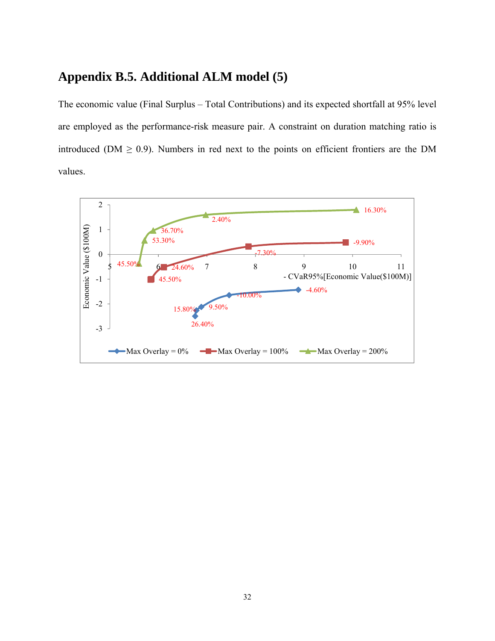### **Appendix B.5. Additional ALM model (5)**

The economic value (Final Surplus – Total Contributions) and its expected shortfall at 95% level are employed as the performance-risk measure pair. A constraint on duration matching ratio is introduced ( $DM \ge 0.9$ ). Numbers in red next to the points on efficient frontiers are the DM values.

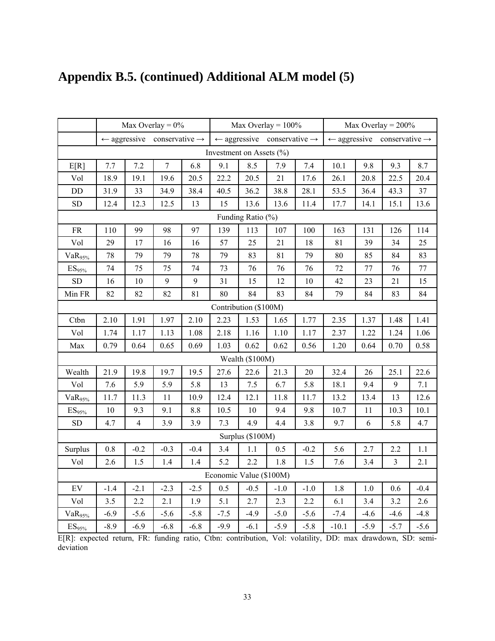|                            |        |                | Max Overlay = $0\%$                                |        |                              |                   | Max Overlay = $100\%$                              |         |                         |        | Max Overlay = $200\%$      |        |
|----------------------------|--------|----------------|----------------------------------------------------|--------|------------------------------|-------------------|----------------------------------------------------|---------|-------------------------|--------|----------------------------|--------|
|                            |        |                | $\leftarrow$ aggressive conservative $\rightarrow$ |        |                              |                   | $\leftarrow$ aggressive conservative $\rightarrow$ |         | $\leftarrow$ aggressive |        | conservative $\rightarrow$ |        |
|                            |        |                |                                                    |        | Investment on Assets $(\% )$ |                   |                                                    |         |                         |        |                            |        |
| E[R]                       | 7.7    | 7.2            | $\boldsymbol{7}$                                   | 6.8    | 9.1                          | 8.5               | 7.9                                                | 7.4     | 10.1                    | 9.8    | 9.3                        | 8.7    |
| Vol                        | 18.9   | 19.1           | 19.6                                               | 20.5   | 22.2                         | 20.5              | 21                                                 | 17.6    | 26.1                    | 20.8   | 22.5                       | 20.4   |
| $\rm DD$                   | 31.9   | 33             | 34.9                                               | 38.4   | 40.5                         | 36.2              | 38.8                                               | 28.1    | 53.5                    | 36.4   | 43.3                       | 37     |
| ${\rm SD}$                 | 12.4   | 12.3           | 12.5                                               | 13     | 15                           | 13.6              | 13.6                                               | 11.4    | 17.7                    | 14.1   | 15.1                       | 13.6   |
|                            |        |                |                                                    |        |                              | Funding Ratio (%) |                                                    |         |                         |        |                            |        |
| ${\rm FR}$                 | 110    | 99             | 98                                                 | 97     | 139                          | 113               | 107                                                | 100     | 163                     | 131    | 126                        | 114    |
| Vol                        | 29     | 17             | 16                                                 | 16     | 57                           | 25                | 21                                                 | 18      | 81                      | 39     | 34                         | 25     |
| $VaR_{95\%}$               | 78     | 79             | 79                                                 | 78     | 79                           | 83                | 81                                                 | 79      | 80                      | 85     | 84                         | 83     |
| $ES_{95\%}$                | $74\,$ | 75             | 75                                                 | 74     | 73                           | 76                | 76                                                 | 76      | 72                      | 77     | 76                         | 77     |
| <b>SD</b>                  | 16     | 10             | 9                                                  | 9      | 31                           | 15                | 12                                                 | 10      | 42                      | 23     | 21                         | 15     |
| Min FR                     | 82     | 82             | 82                                                 | 81     | 80                           | 84                | 83                                                 | 84      | 79                      | 84     | 83                         | 84     |
| Contribution (\$100M)      |        |                |                                                    |        |                              |                   |                                                    |         |                         |        |                            |        |
| Ctbn                       | 2.10   | 1.91           | 1.97                                               | 2.10   | 2.23                         | 1.53              | 1.65                                               | 1.77    | 2.35                    | 1.37   | 1.48                       | 1.41   |
| Vol                        | 1.74   | 1.17           | 1.13                                               | 1.08   | 2.18                         | 1.16              | 1.10                                               | 1.17    | 2.37                    | 1.22   | 1.24                       | 1.06   |
| Max                        | 0.79   | 0.64           | 0.65                                               | 0.69   | 1.03                         | 0.62              | 0.62                                               | 0.56    | 1.20                    | 0.64   | 0.70                       | 0.58   |
|                            |        |                |                                                    |        |                              | Wealth (\$100M)   |                                                    |         |                         |        |                            |        |
| Wealth                     | 21.9   | 19.8           | 19.7                                               | 19.5   | 27.6                         | 22.6              | 21.3                                               | 20      | 32.4                    | 26     | 25.1                       | 22.6   |
| Vol                        | 7.6    | 5.9            | 5.9                                                | 5.8    | 13                           | 7.5               | 6.7                                                | 5.8     | 18.1                    | 9.4    | 9                          | 7.1    |
| VaR <sub>95%</sub>         | 11.7   | 11.3           | 11                                                 | 10.9   | 12.4                         | 12.1              | 11.8                                               | 11.7    | 13.2                    | 13.4   | 13                         | 12.6   |
| ES <sub>95%</sub>          | $10\,$ | 9.3            | 9.1                                                | 8.8    | 10.5                         | 10                | 9.4                                                | 9.8     | 10.7                    | 11     | 10.3                       | 10.1   |
| <b>SD</b>                  | 4.7    | $\overline{4}$ | 3.9                                                | 3.9    | 7.3                          | 4.9               | 4.4                                                | 3.8     | 9.7                     | 6      | 5.8                        | 4.7    |
|                            |        |                |                                                    |        |                              | Surplus (\$100M)  |                                                    |         |                         |        |                            |        |
| Surplus                    | 0.8    | $-0.2$         | $-0.3$                                             | $-0.4$ | 3.4                          | 1.1               | 0.5                                                | $-0.2$  | 5.6                     | 2.7    | 2.2                        | 1.1    |
| Vol                        | 2.6    | 1.5            | 1.4                                                | 1.4    | 5.2                          | 2.2               | 1.8                                                | $1.5\,$ | 7.6                     | 3.4    | $\overline{3}$             | 2.1    |
|                            |        |                |                                                    |        | Economic Value (\$100M)      |                   |                                                    |         |                         |        |                            |        |
| $\mathop{\rm EV}\nolimits$ | $-1.4$ | $-2.1$         | $-2.3$                                             | $-2.5$ | 0.5                          | $-0.5$            | $-1.0$                                             | $-1.0$  | 1.8                     | 1.0    | 0.6                        | $-0.4$ |
| Vol                        | 3.5    | 2.2            | 2.1                                                | 1.9    | 5.1                          | 2.7               | 2.3                                                | 2.2     | 6.1                     | 3.4    | 3.2                        | 2.6    |
| $VaR_{95\%}$               | $-6.9$ | $-5.6$         | $-5.6$                                             | $-5.8$ | $-7.5$                       | $-4.9$            | $-5.0$                                             | $-5.6$  | $-7.4$                  | $-4.6$ | $-4.6$                     | $-4.8$ |
| $\mathrm{ES}_{95\%}$       | $-8.9$ | $-6.9$         | $-6.8$                                             | $-6.8$ | $-9.9$                       | $-6.1$<br>$\cdot$ | $-5.9$<br>$T$ $T$ $T$                              | $-5.8$  | $-10.1$<br><b>DD</b>    | $-5.9$ | $-5.7$                     | $-5.6$ |

## **Appendix B.5. (continued) Additional ALM model (5)**

E[R]: expected return, FR: funding ratio, Ctbn: contribution, Vol: volatility, DD: max drawdown, SD: semideviation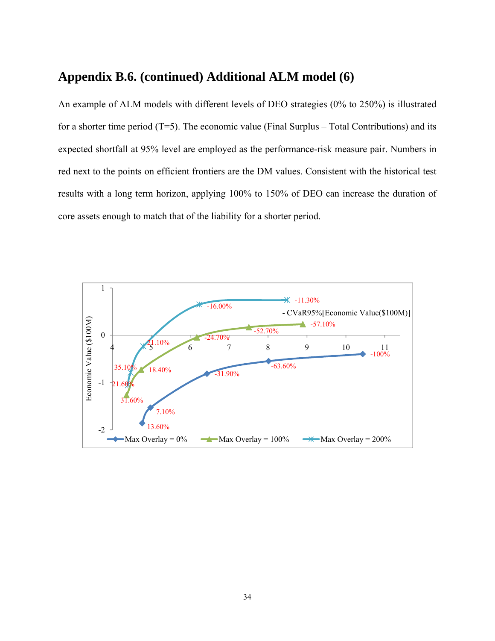### **Appendix B.6. (continued) Additional ALM model (6)**

An example of ALM models with different levels of DEO strategies (0% to 250%) is illustrated for a shorter time period  $(T=5)$ . The economic value (Final Surplus – Total Contributions) and its expected shortfall at 95% level are employed as the performance-risk measure pair. Numbers in red next to the points on efficient frontiers are the DM values. Consistent with the historical test results with a long term horizon, applying 100% to 150% of DEO can increase the duration of core assets enough to match that of the liability for a shorter period.